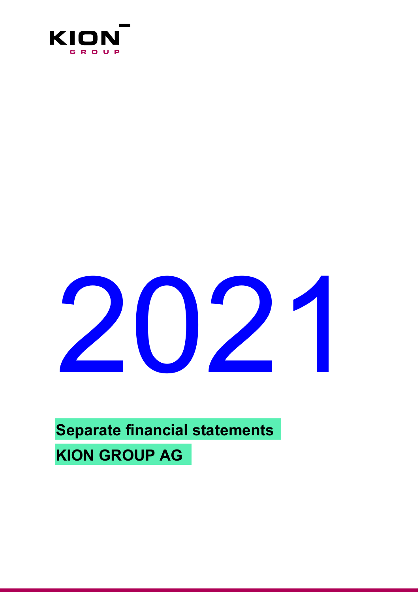

# 2021

**Separate financial statements KION GROUP AG**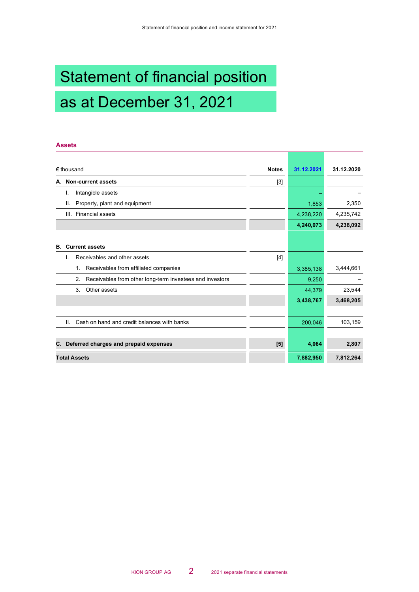# Statement of financial position as at December 31, 2021

#### **Assets**

|    | $\epsilon$ thousand                                            |       | 31.12.2021 | 31.12.2020 |
|----|----------------------------------------------------------------|-------|------------|------------|
|    | <b>Non-current assets</b>                                      | $[3]$ |            |            |
|    | Intangible assets<br>ı.                                        |       |            |            |
|    | Property, plant and equipment<br>Ш.                            |       | 1,853      | 2,350      |
|    | <b>Financial assets</b><br>III.                                |       | 4,238,220  | 4,235,742  |
|    |                                                                |       | 4,240,073  | 4,238,092  |
|    |                                                                |       |            |            |
| В. | <b>Current assets</b>                                          |       |            |            |
|    | Receivables and other assets<br>L.                             |       |            |            |
|    | Receivables from affiliated companies<br>1.                    |       | 3,385,138  | 3,444,661  |
|    | 2.<br>Receivables from other long-term investees and investors |       | 9,250      |            |
|    | 3.<br>Other assets                                             |       | 44,379     | 23,544     |
|    |                                                                |       | 3,438,767  | 3,468,205  |
|    |                                                                |       |            |            |
|    | Cash on hand and credit balances with banks<br>Η.              |       | 200,046    | 103,159    |
|    |                                                                |       |            |            |
| С. | Deferred charges and prepaid expenses                          | $[5]$ | 4,064      | 2,807      |
|    | <b>Total Assets</b>                                            |       | 7,882,950  | 7,812,264  |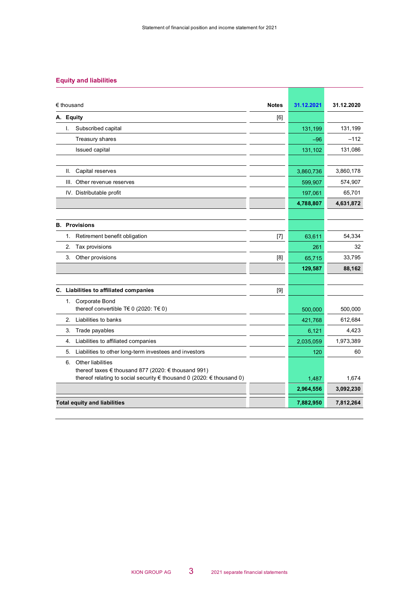#### **Equity and liabilities**

|               | $\epsilon$ thousand                                                      | <b>Notes</b> | 31.12.2021 | 31.12.2020 |
|---------------|--------------------------------------------------------------------------|--------------|------------|------------|
|               | A. Equity                                                                | [6]          |            |            |
| L.            | Subscribed capital                                                       |              | 131,199    | 131,199    |
|               | Treasury shares                                                          |              | $-96$      | $-112$     |
|               | Issued capital                                                           |              | 131,102    | 131,086    |
|               |                                                                          |              |            |            |
| Ш.            | Capital reserves                                                         |              | 3,860,736  | 3,860,178  |
|               | III. Other revenue reserves                                              |              | 599,907    | 574,907    |
|               | IV. Distributable profit                                                 |              | 197,061    | 65,701     |
|               |                                                                          |              | 4,788,807  | 4,631,872  |
|               |                                                                          |              |            |            |
|               | <b>B.</b> Provisions                                                     |              |            |            |
| 1.            | Retirement benefit obligation                                            | $[7]$        | 63,611     | 54,334     |
| 2.            | Tax provisions                                                           |              | 261        | 32         |
| 3.            | Other provisions                                                         | [8]          | 65,715     | 33,795     |
|               |                                                                          |              | 129,587    | 88,162     |
|               |                                                                          |              |            |            |
|               | C. Liabilities to affiliated companies                                   | $[9]$        |            |            |
|               | 1. Corporate Bond<br>thereof convertible T€ 0 (2020: T€ 0)               |              | 500,000    | 500,000    |
| $\mathcal{P}$ | Liabilities to banks                                                     |              | 421,768    | 612,684    |
| 3.            | Trade payables                                                           |              | 6,121      | 4,423      |
| 4.            | Liabilities to affiliated companies                                      |              | 2,035,059  | 1,973,389  |
| 5.            | Liabilities to other long-term investees and investors                   |              | 120        | 60         |
| 6.            | Other liabilities<br>thereof taxes € thousand 877 (2020: € thousand 991) |              |            |            |
|               | thereof relating to social security € thousand 0 (2020: € thousand 0)    |              | 1,487      | 1,674      |
|               |                                                                          |              | 2,964,556  | 3,092,230  |
|               | <b>Total equity and liabilities</b>                                      |              | 7,882,950  | 7,812,264  |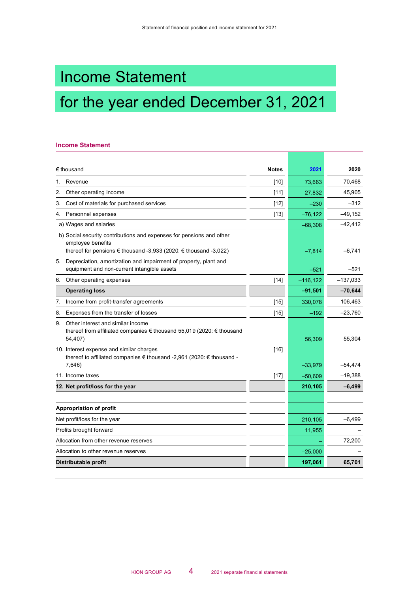# Income Statement

# for the year ended December 31, 2021

#### **Income Statement**

| $\epsilon$ thousand                                                                                                                                                             | <b>Notes</b> | 2021        | 2020       |
|---------------------------------------------------------------------------------------------------------------------------------------------------------------------------------|--------------|-------------|------------|
| Revenue<br>1.                                                                                                                                                                   | $[10]$       | 73,663      | 70.468     |
| Other operating income<br>2.                                                                                                                                                    | $[11]$       | 27,832      | 45,905     |
| Cost of materials for purchased services<br>3.                                                                                                                                  | $[12]$       | $-230$      | $-312$     |
| Personnel expenses<br>4.                                                                                                                                                        | $[13]$       | $-76, 122$  | $-49,152$  |
| a) Wages and salaries                                                                                                                                                           |              | $-68,308$   | $-42,412$  |
| b) Social security contributions and expenses for pensions and other<br>employee benefits<br>thereof for pensions $\epsilon$ thousand -3,933 (2020: $\epsilon$ thousand -3,022) |              | $-7,814$    | $-6.741$   |
| Depreciation, amortization and impairment of property, plant and<br>5.<br>equipment and non-current intangible assets                                                           |              | $-521$      | $-521$     |
| Other operating expenses<br>6.                                                                                                                                                  | $[14]$       | $-116, 122$ | $-137,033$ |
| <b>Operating loss</b>                                                                                                                                                           |              | $-91,501$   | $-70,644$  |
| Income from profit-transfer agreements<br>7.                                                                                                                                    | $[15]$       | 330,078     | 106,463    |
| Expenses from the transfer of losses<br>8.                                                                                                                                      | $[15]$       | $-192$      | $-23,760$  |
| Other interest and similar income<br>9.<br>thereof from affiliated companies € thousand 55,019 (2020: € thousand<br>54,407)                                                     |              | 56,309      | 55,304     |
| 10. Interest expense and similar charges<br>thereof to affiliated companies € thousand -2,961 (2020: € thousand -<br>7,646)                                                     | $[16]$       | $-33,979$   | $-54,474$  |
| 11. Income taxes                                                                                                                                                                | $[17]$       | $-50,609$   | $-19,388$  |
| 12. Net profit/loss for the year                                                                                                                                                |              | 210,105     | $-6,499$   |
| Appropriation of profit                                                                                                                                                         |              |             |            |
| Net profit/loss for the year                                                                                                                                                    |              | 210,105     | $-6,499$   |
| Profits brought forward                                                                                                                                                         |              | 11,955      |            |
| Allocation from other revenue reserves                                                                                                                                          |              |             | 72,200     |
| Allocation to other revenue reserves                                                                                                                                            |              | $-25,000$   |            |
| Distributable profit                                                                                                                                                            |              | 197,061     | 65,701     |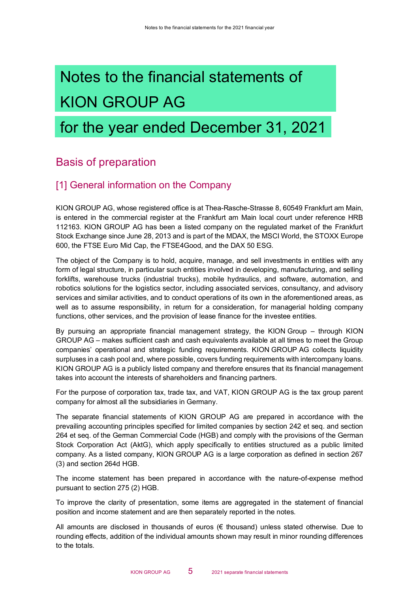# Notes to the financial statements of KION GROUP AG

# for the year ended December 31, 2021

# Basis of preparation

# [1] General information on the Company

KION GROUP AG, whose registered office is at Thea-Rasche-Strasse 8, 60549 Frankfurt am Main, is entered in the commercial register at the Frankfurt am Main local court under reference HRB 112163. KION GROUP AG has been a listed company on the regulated market of the Frankfurt Stock Exchange since June 28, 2013 and is part of the MDAX, the MSCI World, the STOXX Europe 600, the FTSE Euro Mid Cap, the FTSE4Good, and the DAX 50 ESG.

The object of the Company is to hold, acquire, manage, and sell investments in entities with any form of legal structure, in particular such entities involved in developing, manufacturing, and selling forklifts, warehouse trucks (industrial trucks), mobile hydraulics, and software, automation, and robotics solutions for the logistics sector, including associated services, consultancy, and advisory services and similar activities, and to conduct operations of its own in the aforementioned areas, as well as to assume responsibility, in return for a consideration, for managerial holding company functions, other services, and the provision of lease finance for the investee entities.

By pursuing an appropriate financial management strategy, the KION Group – through KION GROUP AG – makes sufficient cash and cash equivalents available at all times to meet the Group companies' operational and strategic funding requirements. KION GROUP AG collects liquidity surpluses in a cash pool and, where possible, covers funding requirements with intercompany loans. KION GROUP AG is a publicly listed company and therefore ensures that its financial management takes into account the interests of shareholders and financing partners.

For the purpose of corporation tax, trade tax, and VAT, KION GROUP AG is the tax group parent company for almost all the subsidiaries in Germany.

The separate financial statements of KION GROUP AG are prepared in accordance with the prevailing accounting principles specified for limited companies by section 242 et seq. and section 264 et seq. of the German Commercial Code (HGB) and comply with the provisions of the German Stock Corporation Act (AktG), which apply specifically to entities structured as a public limited company. As a listed company, KION GROUP AG is a large corporation as defined in section 267 (3) and section 264d HGB.

The income statement has been prepared in accordance with the nature-of-expense method pursuant to section 275 (2) HGB.

To improve the clarity of presentation, some items are aggregated in the statement of financial position and income statement and are then separately reported in the notes.

All amounts are disclosed in thousands of euros  $(€$  thousand) unless stated otherwise. Due to rounding effects, addition of the individual amounts shown may result in minor rounding differences to the totals.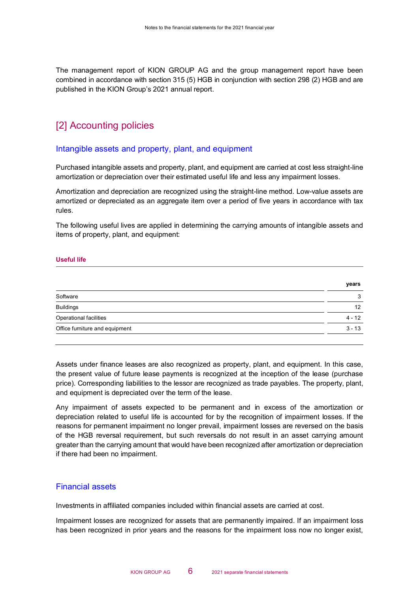The management report of KION GROUP AG and the group management report have been combined in accordance with section 315 (5) HGB in conjunction with section 298 (2) HGB and are published in the KION Group's 2021 annual report.

# [2] Accounting policies

#### Intangible assets and property, plant, and equipment

Purchased intangible assets and property, plant, and equipment are carried at cost less straight-line amortization or depreciation over their estimated useful life and less any impairment losses.

Amortization and depreciation are recognized using the straight-line method. Low-value assets are amortized or depreciated as an aggregate item over a period of five years in accordance with tax rules.

The following useful lives are applied in determining the carrying amounts of intangible assets and items of property, plant, and equipment:

#### **Useful life**

|                                | vears    |
|--------------------------------|----------|
| Software                       | 3        |
| <b>Buildings</b>               | 12       |
| Operational facilities         | $4 - 12$ |
| Office furniture and equipment | $3 - 13$ |

Assets under finance leases are also recognized as property, plant, and equipment. In this case, the present value of future lease payments is recognized at the inception of the lease (purchase price). Corresponding liabilities to the lessor are recognized as trade payables. The property, plant, and equipment is depreciated over the term of the lease.

Any impairment of assets expected to be permanent and in excess of the amortization or depreciation related to useful life is accounted for by the recognition of impairment losses. If the reasons for permanent impairment no longer prevail, impairment losses are reversed on the basis of the HGB reversal requirement, but such reversals do not result in an asset carrying amount greater than the carrying amount that would have been recognized after amortization or depreciation if there had been no impairment.

#### Financial assets

Investments in affiliated companies included within financial assets are carried at cost.

Impairment losses are recognized for assets that are permanently impaired. If an impairment loss has been recognized in prior years and the reasons for the impairment loss now no longer exist,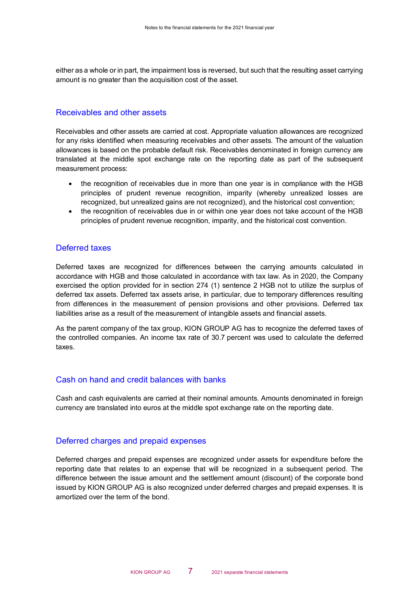either as a whole or in part, the impairment loss is reversed, but such that the resulting asset carrying amount is no greater than the acquisition cost of the asset.

#### Receivables and other assets

Receivables and other assets are carried at cost. Appropriate valuation allowances are recognized for any risks identified when measuring receivables and other assets. The amount of the valuation allowances is based on the probable default risk. Receivables denominated in foreign currency are translated at the middle spot exchange rate on the reporting date as part of the subsequent measurement process:

- the recognition of receivables due in more than one year is in compliance with the HGB principles of prudent revenue recognition, imparity (whereby unrealized losses are recognized, but unrealized gains are not recognized), and the historical cost convention;
- the recognition of receivables due in or within one year does not take account of the HGB principles of prudent revenue recognition, imparity, and the historical cost convention.

#### Deferred taxes

Deferred taxes are recognized for differences between the carrying amounts calculated in accordance with HGB and those calculated in accordance with tax law. As in 2020, the Company exercised the option provided for in section 274 (1) sentence 2 HGB not to utilize the surplus of deferred tax assets. Deferred tax assets arise, in particular, due to temporary differences resulting from differences in the measurement of pension provisions and other provisions. Deferred tax liabilities arise as a result of the measurement of intangible assets and financial assets.

As the parent company of the tax group, KION GROUP AG has to recognize the deferred taxes of the controlled companies. An income tax rate of 30.7 percent was used to calculate the deferred taxes.

#### Cash on hand and credit balances with banks

Cash and cash equivalents are carried at their nominal amounts. Amounts denominated in foreign currency are translated into euros at the middle spot exchange rate on the reporting date.

#### Deferred charges and prepaid expenses

Deferred charges and prepaid expenses are recognized under assets for expenditure before the reporting date that relates to an expense that will be recognized in a subsequent period. The difference between the issue amount and the settlement amount (discount) of the corporate bond issued by KION GROUP AG is also recognized under deferred charges and prepaid expenses. It is amortized over the term of the bond.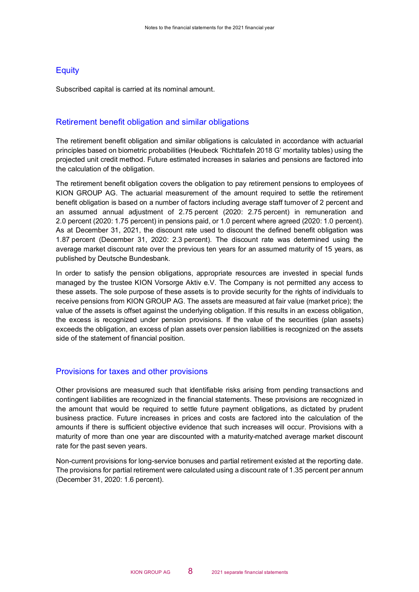## **Equity**

Subscribed capital is carried at its nominal amount.

#### Retirement benefit obligation and similar obligations

The retirement benefit obligation and similar obligations is calculated in accordance with actuarial principles based on biometric probabilities (Heubeck 'Richttafeln 2018 G' mortality tables) using the projected unit credit method. Future estimated increases in salaries and pensions are factored into the calculation of the obligation.

The retirement benefit obligation covers the obligation to pay retirement pensions to employees of KION GROUP AG. The actuarial measurement of the amount required to settle the retirement benefit obligation is based on a number of factors including average staff turnover of 2 percent and an assumed annual adjustment of 2.75 percent (2020: 2.75 percent) in remuneration and 2.0 percent (2020: 1.75 percent) in pensions paid, or 1.0 percent where agreed (2020: 1.0 percent). As at December 31, 2021, the discount rate used to discount the defined benefit obligation was 1.87 percent (December 31, 2020: 2.3 percent). The discount rate was determined using the average market discount rate over the previous ten years for an assumed maturity of 15 years, as published by Deutsche Bundesbank.

In order to satisfy the pension obligations, appropriate resources are invested in special funds managed by the trustee KION Vorsorge Aktiv e.V. The Company is not permitted any access to these assets. The sole purpose of these assets is to provide security for the rights of individuals to receive pensions from KION GROUP AG. The assets are measured at fair value (market price); the value of the assets is offset against the underlying obligation. If this results in an excess obligation, the excess is recognized under pension provisions. If the value of the securities (plan assets) exceeds the obligation, an excess of plan assets over pension liabilities is recognized on the assets side of the statement of financial position.

#### Provisions for taxes and other provisions

Other provisions are measured such that identifiable risks arising from pending transactions and contingent liabilities are recognized in the financial statements. These provisions are recognized in the amount that would be required to settle future payment obligations, as dictated by prudent business practice. Future increases in prices and costs are factored into the calculation of the amounts if there is sufficient objective evidence that such increases will occur. Provisions with a maturity of more than one year are discounted with a maturity-matched average market discount rate for the past seven years.

Non-current provisions for long-service bonuses and partial retirement existed at the reporting date. The provisions for partial retirement were calculated using a discount rate of 1.35 percent per annum (December 31, 2020: 1.6 percent).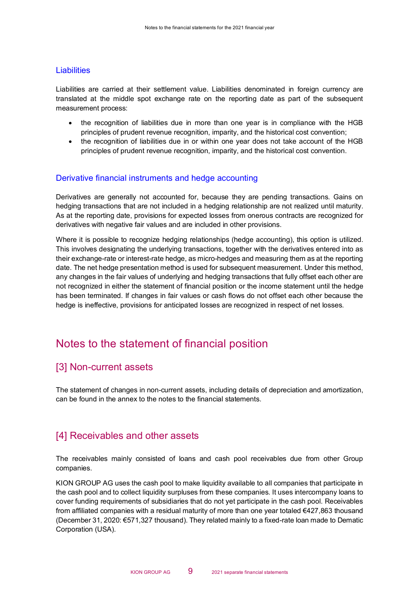#### **Liabilities**

Liabilities are carried at their settlement value. Liabilities denominated in foreign currency are translated at the middle spot exchange rate on the reporting date as part of the subsequent measurement process:

- the recognition of liabilities due in more than one year is in compliance with the HGB principles of prudent revenue recognition, imparity, and the historical cost convention;
- the recognition of liabilities due in or within one year does not take account of the HGB principles of prudent revenue recognition, imparity, and the historical cost convention.

#### Derivative financial instruments and hedge accounting

Derivatives are generally not accounted for, because they are pending transactions. Gains on hedging transactions that are not included in a hedging relationship are not realized until maturity. As at the reporting date, provisions for expected losses from onerous contracts are recognized for derivatives with negative fair values and are included in other provisions.

Where it is possible to recognize hedging relationships (hedge accounting), this option is utilized. This involves designating the underlying transactions, together with the derivatives entered into as their exchange-rate or interest-rate hedge, as micro-hedges and measuring them as at the reporting date. The net hedge presentation method is used for subsequent measurement. Under this method, any changes in the fair values of underlying and hedging transactions that fully offset each other are not recognized in either the statement of financial position or the income statement until the hedge has been terminated. If changes in fair values or cash flows do not offset each other because the hedge is ineffective, provisions for anticipated losses are recognized in respect of net losses.

# Notes to the statement of financial position

# [3] Non-current assets

The statement of changes in non-current assets, including details of depreciation and amortization, can be found in the annex to the notes to the financial statements.

# [4] Receivables and other assets

The receivables mainly consisted of loans and cash pool receivables due from other Group companies.

KION GROUP AG uses the cash pool to make liquidity available to all companies that participate in the cash pool and to collect liquidity surpluses from these companies. It uses intercompany loans to cover funding requirements of subsidiaries that do not yet participate in the cash pool. Receivables from affiliated companies with a residual maturity of more than one year totaled €427,863 thousand (December 31, 2020: €571,327 thousand). They related mainly to a fixed-rate loan made to Dematic Corporation (USA).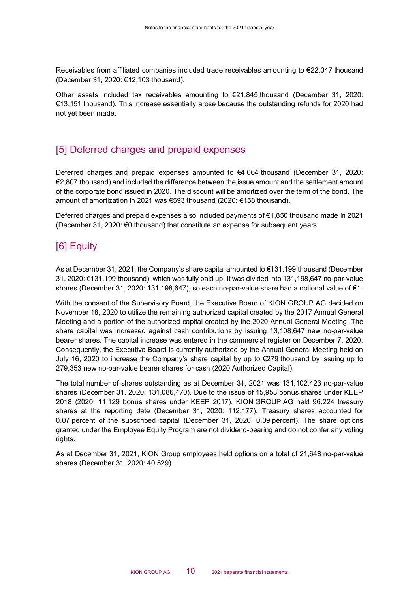Receivables from affiliated companies included trade receivables amounting to €22,047 thousand (December 31, 2020: €12,103 thousand).

Other assets included tax receivables amounting to €21,845 thousand (December 31, 2020: €13,151 thousand). This increase essentially arose because the outstanding refunds for 2020 had not yet been made.

# [5] Deferred charges and prepaid expenses

Deferred charges and prepaid expenses amounted to €4,064 thousand (December 31, 2020: €2,807 thousand) and included the difference between the issue amount and the settlement amount of the corporate bond issued in 2020. The discount will be amortized over the term of the bond. The amount of amortization in 2021 was €593 thousand (2020: €158 thousand).

Deferred charges and prepaid expenses also included payments of €1,850 thousand made in 2021 (December 31, 2020: €0 thousand) that constitute an expense for subsequent years.

# [6] Equity

As at December 31, 2021, the Company's share capital amounted to €131,199 thousand (December 31, 2020: €131,199 thousand), which was fully paid up. It was divided into 131,198,647 no-par-value shares (December 31, 2020: 131,198,647), so each no-par-value share had a notional value of €1.

With the consent of the Supervisory Board, the Executive Board of KION GROUP AG decided on November 18, 2020 to utilize the remaining authorized capital created by the 2017 Annual General Meeting and a portion of the authorized capital created by the 2020 Annual General Meeting. The share capital was increased against cash contributions by issuing 13,108,647 new no-par-value bearer shares. The capital increase was entered in the commercial register on December 7, 2020. Consequently, the Executive Board is currently authorized by the Annual General Meeting held on July 16, 2020 to increase the Company's share capital by up to €279 thousand by issuing up to 279,353 new no-par-value bearer shares for cash (2020 Authorized Capital).

The total number of shares outstanding as at December 31, 2021 was 131,102,423 no-par-value shares (December 31, 2020: 131,086,470). Due to the issue of 15,953 bonus shares under KEEP 2018 (2020: 11,129 bonus shares under KEEP 2017), KION GROUP AG held 96,224 treasury shares at the reporting date (December 31, 2020: 112,177). Treasury shares accounted for 0.07 percent of the subscribed capital (December 31, 2020: 0.09 percent). The share options granted under the Employee Equity Program are not dividend-bearing and do not confer any voting rights.

As at December 31, 2021, KION Group employees held options on a total of 21,648 no-par-value shares (December 31, 2020: 40,529).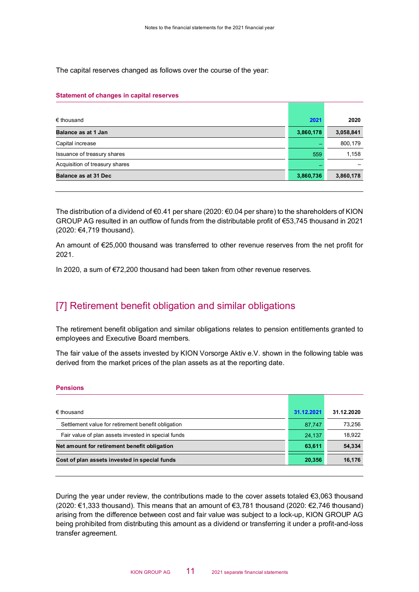The capital reserves changed as follows over the course of the year:

#### **Statement of changes in capital reserves**

| $\epsilon$ thousand            | 2021      | 2020      |
|--------------------------------|-----------|-----------|
| Balance as at 1 Jan            | 3,860,178 | 3,058,841 |
| Capital increase               |           | 800,179   |
| Issuance of treasury shares    | 559       | 1,158     |
| Acquisition of treasury shares |           |           |
| <b>Balance as at 31 Dec</b>    | 3,860,736 | 3,860,178 |
|                                |           |           |

The distribution of a dividend of €0.41 per share (2020: €0.04 per share) to the shareholders of KION GROUP AG resulted in an outflow of funds from the distributable profit of €53,745 thousand in 2021 (2020: €4,719 thousand).

An amount of €25,000 thousand was transferred to other revenue reserves from the net profit for 2021.

In 2020, a sum of €72,200 thousand had been taken from other revenue reserves.

# [7] Retirement benefit obligation and similar obligations

The retirement benefit obligation and similar obligations relates to pension entitlements granted to employees and Executive Board members.

The fair value of the assets invested by KION Vorsorge Aktiv e.V. shown in the following table was derived from the market prices of the plan assets as at the reporting date.

#### **Pensions**

| $\epsilon$ thousand                                 | 31.12.2021 | 31.12.2020 |
|-----------------------------------------------------|------------|------------|
| Settlement value for retirement benefit obligation  | 87,747     | 73,256     |
| Fair value of plan assets invested in special funds | 24,137     | 18.922     |
| Net amount for retirement benefit obligation        | 63,611     | 54,334     |
| Cost of plan assets invested in special funds       | 20,356     | 16,176     |

During the year under review, the contributions made to the cover assets totaled €3,063 thousand (2020: €1,333 thousand). This means that an amount of €3,781 thousand (2020: €2,746 thousand) arising from the difference between cost and fair value was subject to a lock-up, KION GROUP AG being prohibited from distributing this amount as a dividend or transferring it under a profit-and-loss transfer agreement.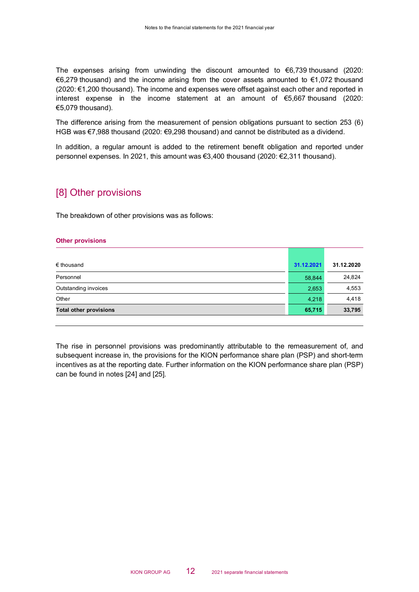The expenses arising from unwinding the discount amounted to  $\epsilon$ 6,739 thousand (2020: €6,279 thousand) and the income arising from the cover assets amounted to €1,072 thousand (2020: €1,200 thousand). The income and expenses were offset against each other and reported in interest expense in the income statement at an amount of €5,667 thousand (2020: €5,079 thousand).

The difference arising from the measurement of pension obligations pursuant to section 253 (6) HGB was €7,988 thousand (2020: €9,298 thousand) and cannot be distributed as a dividend.

In addition, a regular amount is added to the retirement benefit obligation and reported under personnel expenses. In 2021, this amount was €3,400 thousand (2020: €2,311 thousand).

# [8] Other provisions

The breakdown of other provisions was as follows:

#### **Other provisions**

| $\epsilon$ thousand           | 31.12.2021 | 31.12.2020 |
|-------------------------------|------------|------------|
| Personnel                     | 58,844     | 24,824     |
| Outstanding invoices          | 2,653      | 4,553      |
| Other                         | 4,218      | 4,418      |
| <b>Total other provisions</b> | 65,715     | 33,795     |
|                               |            |            |

The rise in personnel provisions was predominantly attributable to the remeasurement of, and subsequent increase in, the provisions for the KION performance share plan (PSP) and short-term incentives as at the reporting date. Further information on the KION performance share plan (PSP) can be found in notes [24] and [25].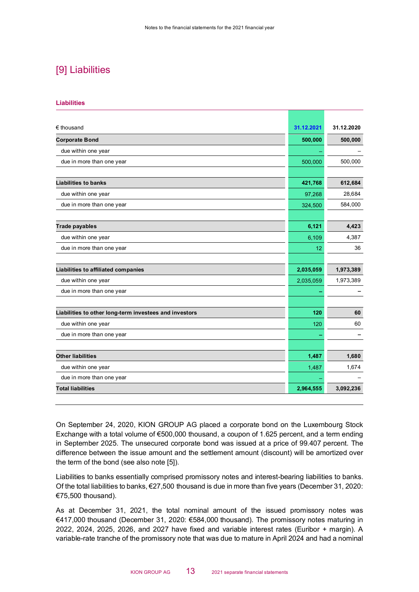# [9] Liabilities

#### **Liabilities**

| $\epsilon$ thousand                                    | 31.12.2021 | 31.12.2020 |
|--------------------------------------------------------|------------|------------|
| <b>Corporate Bond</b>                                  | 500,000    | 500,000    |
| due within one year                                    |            |            |
| due in more than one year                              | 500,000    | 500,000    |
| <b>Liabilities to banks</b>                            | 421,768    | 612,684    |
| due within one year                                    | 97,268     | 28,684     |
| due in more than one year                              | 324,500    | 584,000    |
| <b>Trade payables</b>                                  | 6,121      | 4,423      |
| due within one year                                    | 6,109      | 4,387      |
| due in more than one year                              | 12         | 36         |
| Liabilities to affiliated companies                    | 2,035,059  | 1,973,389  |
| due within one year                                    | 2,035,059  | 1,973,389  |
| due in more than one year                              |            |            |
| Liabilities to other long-term investees and investors | 120        | 60         |
| due within one year                                    | 120        | 60         |
| due in more than one year                              |            |            |
| <b>Other liabilities</b>                               | 1,487      | 1,680      |
| due within one year                                    | 1,487      | 1,674      |
| due in more than one year                              |            |            |
| <b>Total liabilities</b>                               | 2,964,555  | 3,092,236  |

On September 24, 2020, KION GROUP AG placed a corporate bond on the Luxembourg Stock Exchange with a total volume of €500,000 thousand, a coupon of 1.625 percent, and a term ending in September 2025. The unsecured corporate bond was issued at a price of 99.407 percent. The difference between the issue amount and the settlement amount (discount) will be amortized over the term of the bond (see also note [5]).

Liabilities to banks essentially comprised promissory notes and interest-bearing liabilities to banks. Of the total liabilities to banks, €27,500 thousand is due in more than five years (December 31, 2020: €75,500 thousand).

As at December 31, 2021, the total nominal amount of the issued promissory notes was €417,000 thousand (December 31, 2020: €584,000 thousand). The promissory notes maturing in 2022, 2024, 2025, 2026, and 2027 have fixed and variable interest rates (Euribor + margin). A variable-rate tranche of the promissory note that was due to mature in April 2024 and had a nominal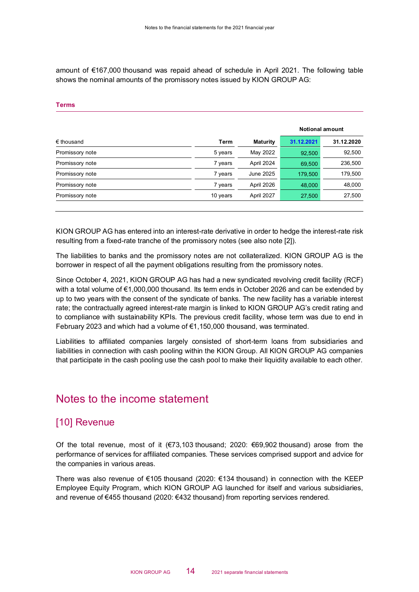amount of €167,000 thousand was repaid ahead of schedule in April 2021. The following table shows the nominal amounts of the promissory notes issued by KION GROUP AG:

| $\epsilon$ thousand | Term     | <b>Maturity</b> | 31.12.2021 | 31.12.2020 |
|---------------------|----------|-----------------|------------|------------|
| Promissory note     | 5 years  | May 2022        | 92,500     | 92,500     |
| Promissory note     | 7 years  | April 2024      | 69,500     | 236,500    |
| Promissory note     | 7 years  | June 2025       | 179,500    | 179,500    |
| Promissory note     | 7 years  | April 2026      | 48,000     | 48,000     |
| Promissory note     | 10 years | April 2027      | 27,500     | 27,500     |
|                     |          |                 |            |            |

**Terms**

KION GROUP AG has entered into an interest-rate derivative in order to hedge the interest-rate risk resulting from a fixed-rate tranche of the promissory notes (see also note [2]).

The liabilities to banks and the promissory notes are not collateralized. KION GROUP AG is the borrower in respect of all the payment obligations resulting from the promissory notes.

Since October 4, 2021, KION GROUP AG has had a new syndicated revolving credit facility (RCF) with a total volume of €1,000,000 thousand. Its term ends in October 2026 and can be extended by up to two years with the consent of the syndicate of banks. The new facility has a variable interest rate; the contractually agreed interest-rate margin is linked to KION GROUP AG's credit rating and to compliance with sustainability KPIs. The previous credit facility, whose term was due to end in February 2023 and which had a volume of €1,150,000 thousand, was terminated.

Liabilities to affiliated companies largely consisted of short-term loans from subsidiaries and liabilities in connection with cash pooling within the KION Group. All KION GROUP AG companies that participate in the cash pooling use the cash pool to make their liquidity available to each other.

# Notes to the income statement

# [10] Revenue

Of the total revenue, most of it (€73,103 thousand; 2020: €69,902 thousand) arose from the performance of services for affiliated companies. These services comprised support and advice for the companies in various areas.

There was also revenue of €105 thousand (2020: €134 thousand) in connection with the KEEP Employee Equity Program, which KION GROUP AG launched for itself and various subsidiaries, and revenue of €455 thousand (2020: €432 thousand) from reporting services rendered.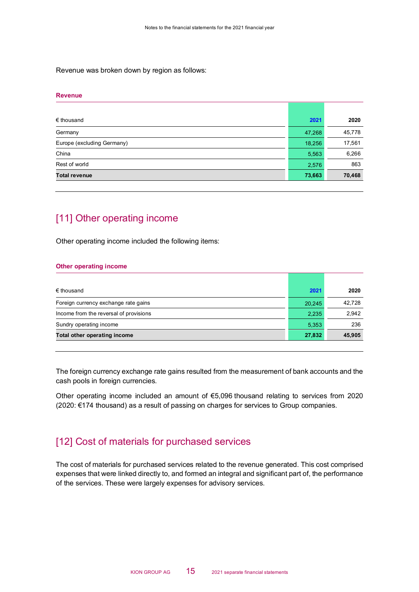Revenue was broken down by region as follows:

#### **Revenue**

| $\epsilon$ thousand        | 2021   | 2020   |
|----------------------------|--------|--------|
| Germany                    | 47,268 | 45,778 |
| Europe (excluding Germany) | 18,256 | 17,561 |
| China                      | 5,563  | 6,266  |
| Rest of world              | 2,576  | 863    |
| <b>Total revenue</b>       | 73,663 | 70,468 |

# [11] Other operating income

Other operating income included the following items:

#### **Other operating income**

| $\epsilon$ thousand                    | 2021   | 2020   |
|----------------------------------------|--------|--------|
| Foreign currency exchange rate gains   | 20,245 | 42,728 |
| Income from the reversal of provisions | 2,235  | 2,942  |
| Sundry operating income                | 5,353  | 236    |
| Total other operating income           | 27,832 | 45,905 |

The foreign currency exchange rate gains resulted from the measurement of bank accounts and the cash pools in foreign currencies.

Other operating income included an amount of €5,096 thousand relating to services from 2020 (2020: €174 thousand) as a result of passing on charges for services to Group companies.

# [12] Cost of materials for purchased services

The cost of materials for purchased services related to the revenue generated. This cost comprised expenses that were linked directly to, and formed an integral and significant part of, the performance of the services. These were largely expenses for advisory services.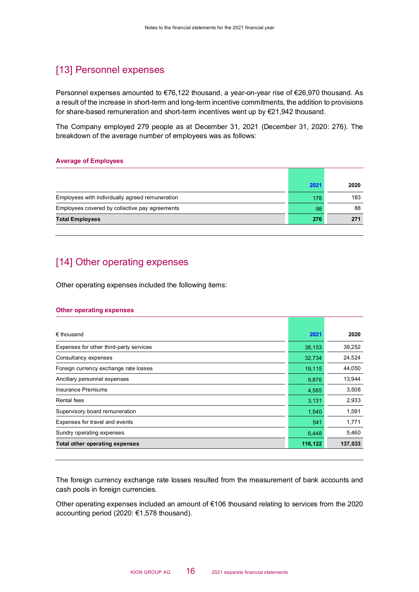# [13] Personnel expenses

Personnel expenses amounted to €76,122 thousand, a year-on-year rise of €26,970 thousand. As a result of the increase in short-term and long-term incentive commitments, the addition to provisions for share-based remuneration and short-term incentives went up by €21,942 thousand.

The Company employed 279 people as at December 31, 2021 (December 31, 2020: 276). The breakdown of the average number of employees was as follows:

#### **Average of Employees**

|                                                 | 2021 | 2020 |
|-------------------------------------------------|------|------|
| Employees with individually agreed remuneration | 178  | 183  |
| Employees covered by collective pay agreements  | 98   | 88   |
| <b>Total Employees</b>                          | 276  | 271  |

# [14] Other operating expenses

Other operating expenses included the following items:

#### **Other operating expenses**

| $\epsilon$ thousand                     | 2021    | 2020    |
|-----------------------------------------|---------|---------|
| Expenses for other third-party services | 38,153  | 39,252  |
| Consultancy expenses                    | 32,734  | 24,524  |
| Foreign currency exchange rate losses   | 19,115  | 44,050  |
| Ancillary personnel expenses            | 9,876   | 13,944  |
| Insurance Premiums                      | 4,585   | 3,508   |
| Rental fees                             | 3,131   | 2,933   |
| Supervisory board remuneration          | 1,540   | 1,591   |
| Expenses for travel and events          | 541     | 1,771   |
| Sundry operating expenses               | 6,448   | 5,460   |
| Total other operating expenses          | 116,122 | 137,033 |

The foreign currency exchange rate losses resulted from the measurement of bank accounts and cash pools in foreign currencies.

Other operating expenses included an amount of €106 thousand relating to services from the 2020 accounting period (2020: €1,578 thousand).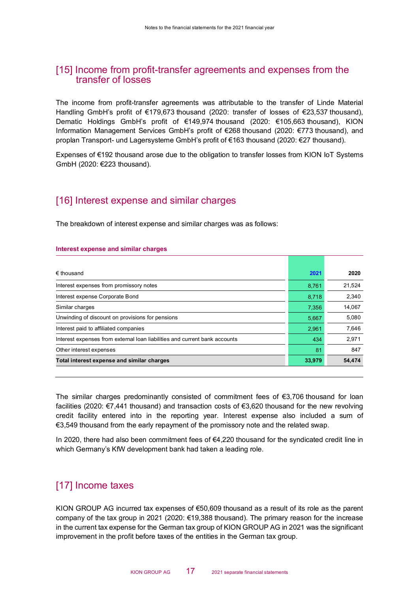## [15] Income from profit-transfer agreements and expenses from the transfer of losses

The income from profit-transfer agreements was attributable to the transfer of Linde Material Handling GmbH's profit of €179,673 thousand (2020: transfer of losses of €23,537 thousand), Dematic Holdings GmbH's profit of €149,974 thousand (2020: €105,663 thousand), KION Information Management Services GmbH's profit of €268 thousand (2020: €773 thousand), and proplan Transport- und Lagersysteme GmbH's profit of €163 thousand (2020: €27 thousand).

Expenses of €192 thousand arose due to the obligation to transfer losses from KION IoT Systems GmbH (2020: €223 thousand).

# [16] Interest expense and similar charges

The breakdown of interest expense and similar charges was as follows:

#### **Interest expense and similar charges**

| $f$ thousand                                                               | 2021   | 2020   |
|----------------------------------------------------------------------------|--------|--------|
| Interest expenses from promissory notes                                    | 8,761  | 21,524 |
| Interest expense Corporate Bond                                            | 8,718  | 2,340  |
| Similar charges                                                            | 7,356  | 14.067 |
| Unwinding of discount on provisions for pensions                           | 5,667  | 5,080  |
| Interest paid to affiliated companies                                      | 2,961  | 7,646  |
| Interest expenses from external loan liabilities and current bank accounts | 434    | 2,971  |
| Other interest expenses                                                    | 81     | 847    |
| Total interest expense and similar charges                                 | 33,979 | 54.474 |
|                                                                            |        |        |

The similar charges predominantly consisted of commitment fees of  $\epsilon$ 3,706 thousand for loan facilities (2020: €7,441 thousand) and transaction costs of €3,620 thousand for the new revolving credit facility entered into in the reporting year. Interest expense also included a sum of €3,549 thousand from the early repayment of the promissory note and the related swap.

In 2020, there had also been commitment fees of €4,220 thousand for the syndicated credit line in which Germany's KfW development bank had taken a leading role.

# [17] Income taxes

KION GROUP AG incurred tax expenses of €50,609 thousand as a result of its role as the parent company of the tax group in 2021 (2020: €19,388 thousand). The primary reason for the increase in the current tax expense for the German tax group of KION GROUP AG in 2021 was the significant improvement in the profit before taxes of the entities in the German tax group.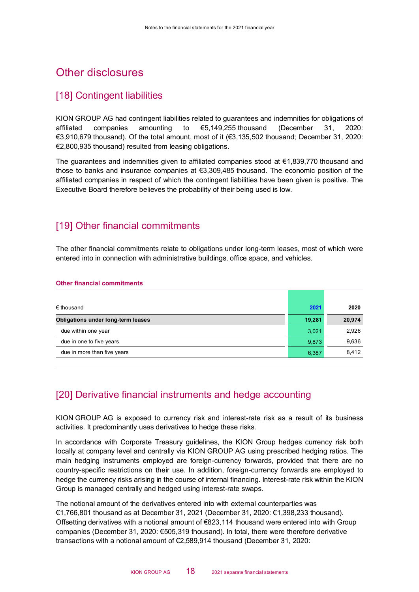# Other disclosures

# [18] Contingent liabilities

KION GROUP AG had contingent liabilities related to guarantees and indemnities for obligations of affiliated companies amounting to €5,149,255 thousand (December 31, 2020: €3,910,679 thousand). Of the total amount, most of it (€3,135,502 thousand; December 31, 2020: €2,800,935 thousand) resulted from leasing obligations.

The guarantees and indemnities given to affiliated companies stood at €1,839,770 thousand and those to banks and insurance companies at €3,309,485 thousand. The economic position of the affiliated companies in respect of which the contingent liabilities have been given is positive. The Executive Board therefore believes the probability of their being used is low.

# [19] Other financial commitments

The other financial commitments relate to obligations under long-term leases, most of which were entered into in connection with administrative buildings, office space, and vehicles.

| $\epsilon$ thousand                | 2021   | 2020   |
|------------------------------------|--------|--------|
| Obligations under long-term leases | 19,281 | 20,974 |
| due within one year                | 3,021  | 2,926  |
| due in one to five years           | 9,873  | 9,636  |
| due in more than five years        | 6,387  | 8,412  |

#### **Other financial commitments**

# [20] Derivative financial instruments and hedge accounting

KION GROUP AG is exposed to currency risk and interest-rate risk as a result of its business activities. It predominantly uses derivatives to hedge these risks.

In accordance with Corporate Treasury guidelines, the KION Group hedges currency risk both locally at company level and centrally via KION GROUP AG using prescribed hedging ratios. The main hedging instruments employed are foreign-currency forwards, provided that there are no country-specific restrictions on their use. In addition, foreign-currency forwards are employed to hedge the currency risks arising in the course of internal financing. Interest-rate risk within the KION Group is managed centrally and hedged using interest-rate swaps.

The notional amount of the derivatives entered into with external counterparties was €1,766,801 thousand as at December 31, 2021 (December 31, 2020: €1,398,233 thousand). Offsetting derivatives with a notional amount of €823,114 thousand were entered into with Group companies (December 31, 2020: €505,319 thousand). In total, there were therefore derivative transactions with a notional amount of €2,589,914 thousand (December 31, 2020: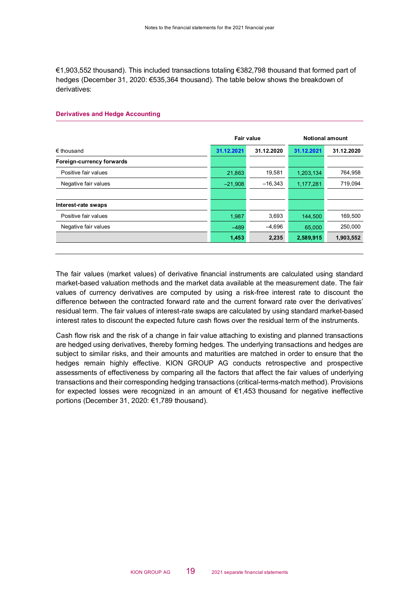€1,903,552 thousand). This included transactions totaling €382,798 thousand that formed part of hedges (December 31, 2020: €535,364 thousand). The table below shows the breakdown of derivatives:

| Fair value |            | <b>Notional amount</b> |            |
|------------|------------|------------------------|------------|
| 31.12.2021 | 31.12.2020 | 31.12.2021             | 31.12.2020 |
|            |            |                        |            |
| 21,863     | 19,581     | 1,203,134              | 764,958    |
| $-21,908$  | $-16,343$  | 1,177,281              | 719,094    |
|            |            |                        |            |
|            |            |                        |            |
| 1,987      | 3,693      | 144,500                | 169,500    |
| $-489$     | $-4,696$   | 65,000                 | 250,000    |
| 1,453      | 2,235      | 2,589,915              | 1,903,552  |
|            |            |                        |            |

#### **Derivatives and Hedge Accounting**

The fair values (market values) of derivative financial instruments are calculated using standard market-based valuation methods and the market data available at the measurement date. The fair values of currency derivatives are computed by using a risk-free interest rate to discount the difference between the contracted forward rate and the current forward rate over the derivatives' residual term. The fair values of interest-rate swaps are calculated by using standard market-based interest rates to discount the expected future cash flows over the residual term of the instruments.

Cash flow risk and the risk of a change in fair value attaching to existing and planned transactions are hedged using derivatives, thereby forming hedges. The underlying transactions and hedges are subject to similar risks, and their amounts and maturities are matched in order to ensure that the hedges remain highly effective. KION GROUP AG conducts retrospective and prospective assessments of effectiveness by comparing all the factors that affect the fair values of underlying transactions and their corresponding hedging transactions (critical-terms-match method). Provisions for expected losses were recognized in an amount of €1,453 thousand for negative ineffective portions (December 31, 2020: €1,789 thousand).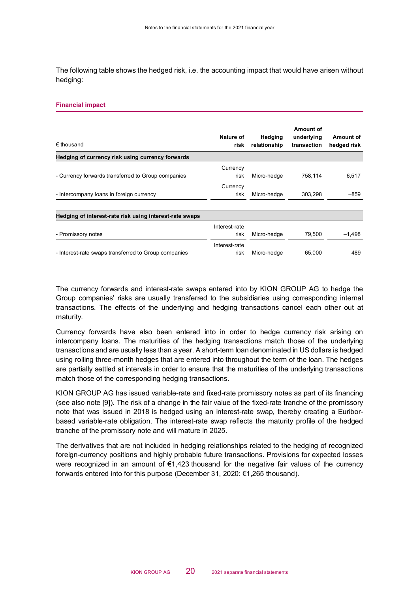The following table shows the hedged risk, i.e. the accounting impact that would have arisen without hedging:

#### **Financial impact**

| $f$ thousand                                            | Nature of<br>risk     | Hedging<br>relationship | Amount of<br>underlying<br>transaction | Amount of<br>hedged risk |
|---------------------------------------------------------|-----------------------|-------------------------|----------------------------------------|--------------------------|
| Hedging of currency risk using currency forwards        |                       |                         |                                        |                          |
| - Currency forwards transferred to Group companies      | Currency<br>risk      | Micro-hedge             | 758,114                                | 6,517                    |
| - Intercompany loans in foreign currency                | Currency<br>risk      | Micro-hedge             | 303,298                                | -859                     |
| Hedging of interest-rate risk using interest-rate swaps |                       |                         |                                        |                          |
| - Promissory notes                                      | Interest-rate<br>risk | Micro-hedge             | 79,500                                 | $-1.498$                 |
| - Interest-rate swaps transferred to Group companies    | Interest-rate<br>risk | Micro-hedge             | 65,000                                 | 489                      |

The currency forwards and interest-rate swaps entered into by KION GROUP AG to hedge the Group companies' risks are usually transferred to the subsidiaries using corresponding internal transactions. The effects of the underlying and hedging transactions cancel each other out at maturity.

Currency forwards have also been entered into in order to hedge currency risk arising on intercompany loans. The maturities of the hedging transactions match those of the underlying transactions and are usually less than a year. A short-term loan denominated in US dollars is hedged using rolling three-month hedges that are entered into throughout the term of the loan. The hedges are partially settled at intervals in order to ensure that the maturities of the underlying transactions match those of the corresponding hedging transactions.

KION GROUP AG has issued variable-rate and fixed-rate promissory notes as part of its financing (see also note [9]). The risk of a change in the fair value of the fixed-rate tranche of the promissory note that was issued in 2018 is hedged using an interest-rate swap, thereby creating a Euriborbased variable-rate obligation. The interest-rate swap reflects the maturity profile of the hedged tranche of the promissory note and will mature in 2025.

The derivatives that are not included in hedging relationships related to the hedging of recognized foreign-currency positions and highly probable future transactions. Provisions for expected losses were recognized in an amount of €1,423 thousand for the negative fair values of the currency forwards entered into for this purpose (December 31, 2020: €1,265 thousand).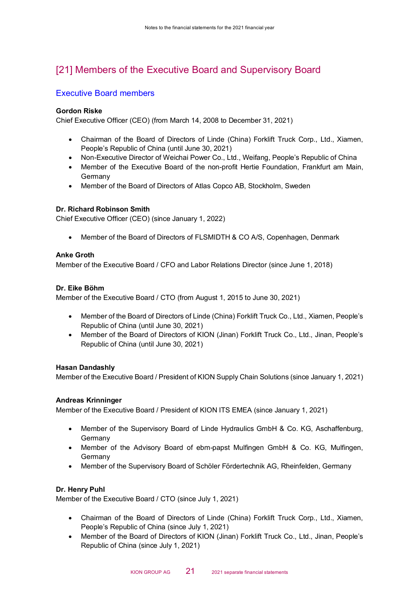# [21] Members of the Executive Board and Supervisory Board

#### Executive Board members

#### **Gordon Riske**

Chief Executive Officer (CEO) (from March 14, 2008 to December 31, 2021)

- Chairman of the Board of Directors of Linde (China) Forklift Truck Corp., Ltd., Xiamen, People's Republic of China (until June 30, 2021)
- Non-Executive Director of Weichai Power Co., Ltd., Weifang, People's Republic of China
- Member of the Executive Board of the non-profit Hertie Foundation, Frankfurt am Main, Germany
- Member of the Board of Directors of Atlas Copco AB, Stockholm, Sweden

#### **Dr. Richard Robinson Smith**

Chief Executive Officer (CEO) (since January 1, 2022)

• Member of the Board of Directors of FLSMIDTH & CO A/S, Copenhagen, Denmark

#### **Anke Groth**

Member of the Executive Board / CFO and Labor Relations Director (since June 1, 2018)

#### **Dr. Eike Böhm**

Member of the Executive Board / CTO (from August 1, 2015 to June 30, 2021)

- Member of the Board of Directors of Linde (China) Forklift Truck Co., Ltd., Xiamen, People's Republic of China (until June 30, 2021)
- Member of the Board of Directors of KION (Jinan) Forklift Truck Co., Ltd., Jinan, People's Republic of China (until June 30, 2021)

#### **Hasan Dandashly**

Member of the Executive Board / President of KION Supply Chain Solutions (since January 1, 2021)

#### **Andreas Krinninger**

Member of the Executive Board / President of KION ITS EMEA (since January 1, 2021)

- Member of the Supervisory Board of Linde Hydraulics GmbH & Co. KG, Aschaffenburg, Germany
- Member of the Advisory Board of ebm-papst Mulfingen GmbH & Co. KG, Mulfingen, Germany
- Member of the Supervisory Board of Schöler Fördertechnik AG, Rheinfelden, Germany

#### **Dr. Henry Puhl**

Member of the Executive Board / CTO (since July 1, 2021)

- Chairman of the Board of Directors of Linde (China) Forklift Truck Corp., Ltd., Xiamen, People's Republic of China (since July 1, 2021)
- Member of the Board of Directors of KION (Jinan) Forklift Truck Co., Ltd., Jinan, People's Republic of China (since July 1, 2021)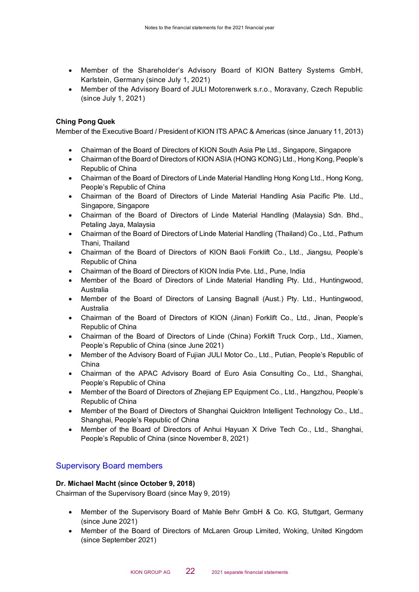- Member of the Shareholder's Advisory Board of KION Battery Systems GmbH, Karlstein, Germany (since July 1, 2021)
- Member of the Advisory Board of JULI Motorenwerk s.r.o., Moravany, Czech Republic (since July 1, 2021)

#### **Ching Pong Quek**

Member of the Executive Board / President of KION ITS APAC & Americas (since January 11, 2013)

- Chairman of the Board of Directors of KION South Asia Pte Ltd., Singapore, Singapore
- Chairman of the Board of Directors of KION ASIA (HONG KONG) Ltd., Hong Kong, People's Republic of China
- Chairman of the Board of Directors of Linde Material Handling Hong Kong Ltd., Hong Kong, People's Republic of China
- Chairman of the Board of Directors of Linde Material Handling Asia Pacific Pte. Ltd., Singapore, Singapore
- Chairman of the Board of Directors of Linde Material Handling (Malaysia) Sdn. Bhd., Petaling Jaya, Malaysia
- Chairman of the Board of Directors of Linde Material Handling (Thailand) Co., Ltd., Pathum Thani, Thailand
- Chairman of the Board of Directors of KION Baoli Forklift Co., Ltd., Jiangsu, People's Republic of China
- Chairman of the Board of Directors of KION India Pvte. Ltd., Pune, India
- Member of the Board of Directors of Linde Material Handling Pty. Ltd., Huntingwood, Australia
- Member of the Board of Directors of Lansing Bagnall (Aust.) Pty. Ltd., Huntingwood, Australia
- Chairman of the Board of Directors of KION (Jinan) Forklift Co., Ltd., Jinan, People's Republic of China
- Chairman of the Board of Directors of Linde (China) Forklift Truck Corp., Ltd., Xiamen, People's Republic of China (since June 2021)
- Member of the Advisory Board of Fujian JULI Motor Co., Ltd., Putian, People's Republic of China
- Chairman of the APAC Advisory Board of Euro Asia Consulting Co., Ltd., Shanghai, People's Republic of China
- Member of the Board of Directors of Zhejiang EP Equipment Co., Ltd., Hangzhou, People's Republic of China
- Member of the Board of Directors of Shanghai Quicktron Intelligent Technology Co., Ltd., Shanghai, People's Republic of China
- Member of the Board of Directors of Anhui Hayuan X Drive Tech Co., Ltd., Shanghai, People's Republic of China (since November 8, 2021)

#### Supervisory Board members

#### **Dr. Michael Macht (since October 9, 2018)**

Chairman of the Supervisory Board (since May 9, 2019)

- Member of the Supervisory Board of Mahle Behr GmbH & Co. KG, Stuttgart, Germany (since June 2021)
- Member of the Board of Directors of McLaren Group Limited, Woking, United Kingdom (since September 2021)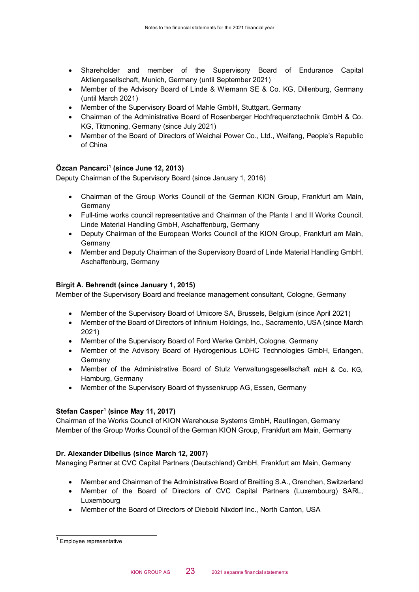- Shareholder and member of the Supervisory Board of Endurance Capital Aktiengesellschaft, Munich, Germany (until September 2021)
- Member of the Advisory Board of Linde & Wiemann SE & Co. KG, Dillenburg, Germany (until March 2021)
- Member of the Supervisory Board of Mahle GmbH, Stuttgart, Germany
- Chairman of the Administrative Board of Rosenberger Hochfrequenztechnik GmbH & Co. KG, Tittmoning, Germany (since July 2021)
- Member of the Board of Directors of Weichai Power Co., Ltd., Weifang, People's Republic of China

#### **Özcan Pancarc[i1](#page-22-0) (since June 12, 2013)**

Deputy Chairman of the Supervisory Board (since January 1, 2016)

- Chairman of the Group Works Council of the German KION Group, Frankfurt am Main, Germany
- Full-time works council representative and Chairman of the Plants I and II Works Council, Linde Material Handling GmbH, Aschaffenburg, Germany
- Deputy Chairman of the European Works Council of the KION Group, Frankfurt am Main, Germany
- Member and Deputy Chairman of the Supervisory Board of Linde Material Handling GmbH, Aschaffenburg, Germany

#### **Birgit A. Behrendt (since January 1, 2015)**

Member of the Supervisory Board and freelance management consultant, Cologne, Germany

- Member of the Supervisory Board of Umicore SA, Brussels, Belgium (since April 2021)
- Member of the Board of Directors of Infinium Holdings, Inc., Sacramento, USA (since March 2021)
- Member of the Supervisory Board of Ford Werke GmbH, Cologne, Germany
- Member of the Advisory Board of Hydrogenious LOHC Technologies GmbH, Erlangen, Germany
- Member of the Administrative Board of Stulz Verwaltungsgesellschaft mbH & Co. KG, Hamburg, Germany
- Member of the Supervisory Board of thyssenkrupp AG, Essen, Germany

#### **Stefan Casper1 (since May 11, 2017)**

Chairman of the Works Council of KION Warehouse Systems GmbH, Reutlingen, Germany Member of the Group Works Council of the German KION Group, Frankfurt am Main, Germany

#### **Dr. Alexander Dibelius (since March 12, 2007)**

Managing Partner at CVC Capital Partners (Deutschland) GmbH, Frankfurt am Main, Germany

- Member and Chairman of the Administrative Board of Breitling S.A., Grenchen, Switzerland
- Member of the Board of Directors of CVC Capital Partners (Luxembourg) SARL, Luxembourg
- Member of the Board of Directors of Diebold Nixdorf Inc., North Canton, USA

<span id="page-22-0"></span> $<sup>1</sup>$  Employee representative</sup>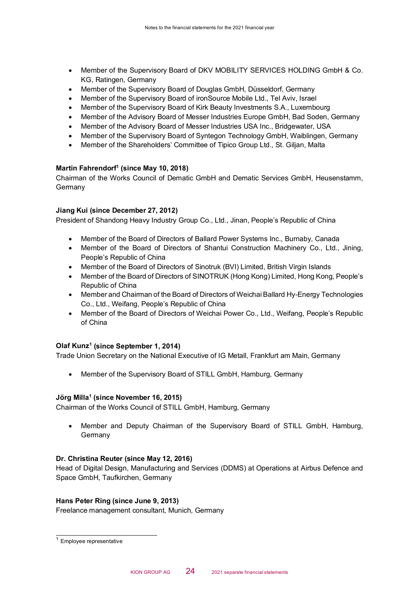- Member of the Supervisory Board of DKV MOBILITY SERVICES HOLDING GmbH & Co. KG, Ratingen, Germany
- Member of the Supervisory Board of Douglas GmbH, Düsseldorf, Germany
- Member of the Supervisory Board of ironSource Mobile Ltd., Tel Aviv, Israel
- Member of the Supervisory Board of Kirk Beauty Investments S.A., Luxembourg
- Member of the Advisory Board of Messer Industries Europe GmbH, Bad Soden, Germany
- Member of the Advisory Board of Messer Industries USA Inc., Bridgewater, USA
- Member of the Supervisory Board of Syntegon Technology GmbH, Waiblingen, Germany
- Member of the Shareholders' Committee of Tipico Group Ltd., St. Giljan, Malta

#### **Martin Fahrendorf1 (since May 10, 2018)**

Chairman of the Works Council of Dematic GmbH and Dematic Services GmbH, Heusenstamm, Germany

#### **Jiang Kui (since December 27, 2012)**

President of Shandong Heavy Industry Group Co., Ltd., Jinan, People's Republic of China

- Member of the Board of Directors of Ballard Power Systems Inc., Burnaby, Canada
- Member of the Board of Directors of Shantui Construction Machinery Co., Ltd., Jining, People's Republic of China
- Member of the Board of Directors of Sinotruk (BVI) Limited, British Virgin Islands
- Member of the Board of Directors of SINOTRUK (Hong Kong) Limited, Hong Kong, People's Republic of China
- Member and Chairman of the Board of Directors of Weichai Ballard Hy-Energy Technologies Co., Ltd., Weifang, People's Republic of China
- Member of the Board of Directors of Weichai Power Co., Ltd., Weifang, People's Republic of China

#### **Olaf Kunz[1](#page-23-0) (since September 1, 2014)**

Trade Union Secretary on the National Executive of IG Metall, Frankfurt am Main, Germany

• Member of the Supervisory Board of STILL GmbH, Hamburg, Germany

#### **Jörg Milla1 (since November 16, 2015)**

Chairman of the Works Council of STILL GmbH, Hamburg, Germany

• Member and Deputy Chairman of the Supervisory Board of STILL GmbH, Hamburg, Germany

#### **Dr. Christina Reuter (since May 12, 2016)**

Head of Digital Design, Manufacturing and Services (DDMS) at Operations at Airbus Defence and Space GmbH, Taufkirchen, Germany

#### **Hans Peter Ring (since June 9, 2013)**

Freelance management consultant, Munich, Germany

<span id="page-23-0"></span><sup>1</sup> Employee representative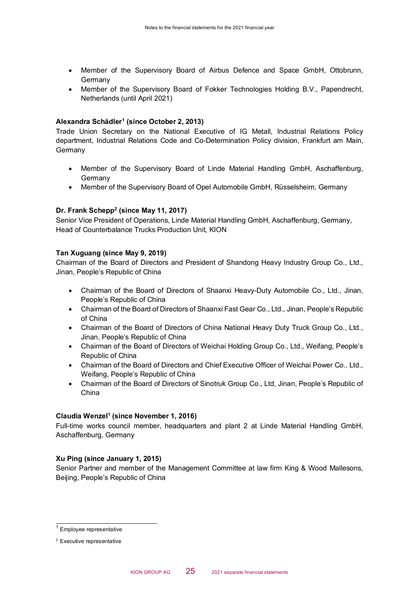- Member of the Supervisory Board of Airbus Defence and Space GmbH, Ottobrunn, Germany
- Member of the Supervisory Board of Fokker Technologies Holding B.V., Papendrecht, Netherlands (until April 2021)

#### **Alexandra Schädler[1](#page-24-0) (since October 2, 2013)**

Trade Union Secretary on the National Executive of IG Metall, Industrial Relations Policy department, Industrial Relations Code and Co-Determination Policy division, Frankfurt am Main, Germany

- Member of the Supervisory Board of Linde Material Handling GmbH, Aschaffenburg, Germany
- Member of the Supervisory Board of Opel Automobile GmbH, Rüsselsheim, Germany

#### **Dr. Frank Schepp[2](#page-24-1) (since May 11, 2017)**

Senior Vice President of Operations, Linde Material Handling GmbH, Aschaffenburg, Germany, Head of Counterbalance Trucks Production Unit, KION

#### **Tan Xuguang (since May 9, 2019)**

Chairman of the Board of Directors and President of Shandong Heavy Industry Group Co., Ltd., Jinan, People's Republic of China

- Chairman of the Board of Directors of Shaanxi Heavy-Duty Automobile Co., Ltd., Jinan, People's Republic of China
- Chairman of the Board of Directors of Shaanxi Fast Gear Co., Ltd., Jinan, People's Republic of China
- Chairman of the Board of Directors of China National Heavy Duty Truck Group Co., Ltd., Jinan, People's Republic of China
- Chairman of the Board of Directors of Weichai Holding Group Co., Ltd., Weifang, People's Republic of China
- Chairman of the Board of Directors and Chief Executive Officer of Weichai Power Co., Ltd., Weifang, People's Republic of China
- Chairman of the Board of Directors of Sinotruk Group Co., Ltd, Jinan, People's Republic of China

#### **Claudia Wenzel1 (since November 1, 2016)**

Full-time works council member, headquarters and plant 2 at Linde Material Handling GmbH, Aschaffenburg, Germany

#### **Xu Ping (since January 1, 2015)**

Senior Partner and member of the Management Committee at law firm King & Wood Mallesons, Beijing, People's Republic of China

<span id="page-24-0"></span><sup>1</sup> Employee representative

<span id="page-24-1"></span><sup>2</sup> Executive representative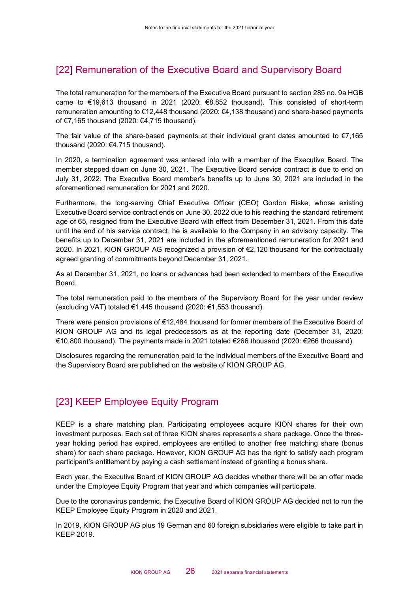# [22] Remuneration of the Executive Board and Supervisory Board

The total remuneration for the members of the Executive Board pursuant to section 285 no. 9a HGB came to €19,613 thousand in 2021 (2020:  $€8,852$  thousand). This consisted of short-term remuneration amounting to €12,448 thousand (2020: €4,138 thousand) and share-based payments of €7,165 thousand (2020: €4,715 thousand).

The fair value of the share-based payments at their individual grant dates amounted to  $\epsilon$ 7,165 thousand (2020: €4,715 thousand).

In 2020, a termination agreement was entered into with a member of the Executive Board. The member stepped down on June 30, 2021. The Executive Board service contract is due to end on July 31, 2022. The Executive Board member's benefits up to June 30, 2021 are included in the aforementioned remuneration for 2021 and 2020.

Furthermore, the long-serving Chief Executive Officer (CEO) Gordon Riske, whose existing Executive Board service contract ends on June 30, 2022 due to his reaching the standard retirement age of 65, resigned from the Executive Board with effect from December 31, 2021. From this date until the end of his service contract, he is available to the Company in an advisory capacity. The benefits up to December 31, 2021 are included in the aforementioned remuneration for 2021 and 2020. In 2021, KION GROUP AG recognized a provision of €2,120 thousand for the contractually agreed granting of commitments beyond December 31, 2021.

As at December 31, 2021, no loans or advances had been extended to members of the Executive Board.

The total remuneration paid to the members of the Supervisory Board for the year under review (excluding VAT) totaled €1,445 thousand (2020: €1,553 thousand).

There were pension provisions of €12,484 thousand for former members of the Executive Board of KION GROUP AG and its legal predecessors as at the reporting date (December 31, 2020: €10,800 thousand). The payments made in 2021 totaled €266 thousand (2020: €266 thousand).

Disclosures regarding the remuneration paid to the individual members of the Executive Board and the Supervisory Board are published on the website of KION GROUP AG.

# [23] KEEP Employee Equity Program

KEEP is a share matching plan. Participating employees acquire KION shares for their own investment purposes. Each set of three KION shares represents a share package. Once the threeyear holding period has expired, employees are entitled to another free matching share (bonus share) for each share package. However, KION GROUP AG has the right to satisfy each program participant's entitlement by paying a cash settlement instead of granting a bonus share.

Each year, the Executive Board of KION GROUP AG decides whether there will be an offer made under the Employee Equity Program that year and which companies will participate.

Due to the coronavirus pandemic, the Executive Board of KION GROUP AG decided not to run the KEEP Employee Equity Program in 2020 and 2021.

In 2019, KION GROUP AG plus 19 German and 60 foreign subsidiaries were eligible to take part in KEEP 2019.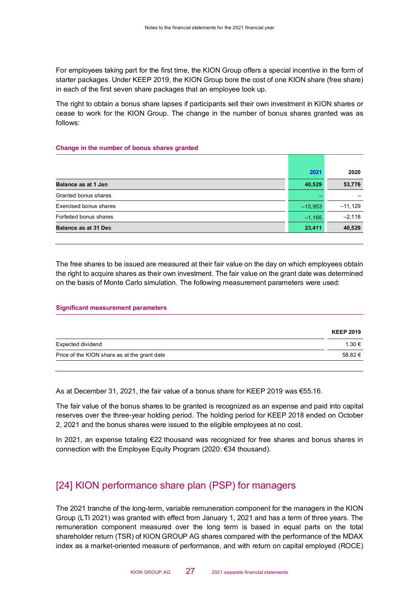For employees taking part for the first time, the KION Group offers a special incentive in the form of starter packages. Under KEEP 2019, the KION Group bore the cost of one KION share (free share) in each of the first seven share packages that an employee took up.

The right to obtain a bonus share lapses if participants sell their own investment in KION shares or cease to work for the KION Group. The change in the number of bonus shares granted was as follows:

#### **Change in the number of bonus shares granted**

|                             | 2021      | 2020      |
|-----------------------------|-----------|-----------|
| Balance as at 1 Jan         | 40,529    | 53,776    |
| Granted bonus shares        |           |           |
| Exercised bonus shares      | $-15,953$ | $-11,129$ |
| Forfeited bonus shares      | $-1,165$  | $-2,118$  |
| <b>Balance as at 31 Dec</b> | 23,411    | 40,529    |
|                             |           |           |

The free shares to be issued are measured at their fair value on the day on which employees obtain the right to acquire shares as their own investment. The fair value on the grant date was determined on the basis of Monte Carlo simulation. The following measurement parameters were used:

#### **Significant measurement parameters**

|                                              | <b>KEEP 2019</b> |
|----------------------------------------------|------------------|
| Expected dividend                            | 1.30 €           |
| Price of the KION share as at the grant date | 58.82€           |

As at December 31, 2021, the fair value of a bonus share for KEEP 2019 was €55.16.

The fair value of the bonus shares to be granted is recognized as an expense and paid into capital reserves over the three-year holding period. The holding period for KEEP 2018 ended on October 2, 2021 and the bonus shares were issued to the eligible employees at no cost.

In 2021, an expense totaling €22 thousand was recognized for free shares and bonus shares in connection with the Employee Equity Program (2020: €34 thousand).

# [24] KION performance share plan (PSP) for managers

The 2021 tranche of the long-term, variable remuneration component for the managers in the KION Group (LTI 2021) was granted with effect from January 1, 2021 and has a term of three years. The remuneration component measured over the long term is based in equal parts on the total shareholder return (TSR) of KION GROUP AG shares compared with the performance of the MDAX index as a market-oriented measure of performance, and with return on capital employed (ROCE)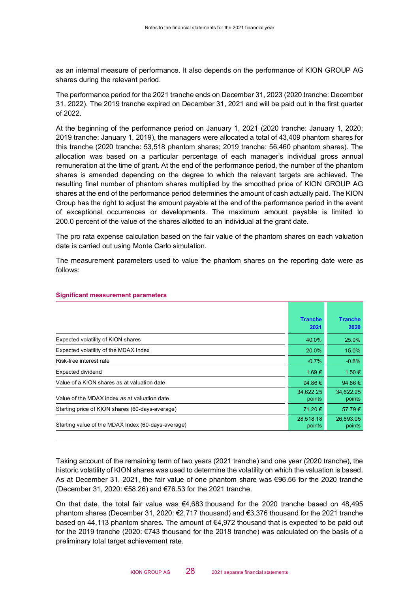as an internal measure of performance. It also depends on the performance of KION GROUP AG shares during the relevant period.

The performance period for the 2021 tranche ends on December 31, 2023 (2020 tranche: December 31, 2022). The 2019 tranche expired on December 31, 2021 and will be paid out in the first quarter of 2022.

At the beginning of the performance period on January 1, 2021 (2020 tranche: January 1, 2020; 2019 tranche: January 1, 2019), the managers were allocated a total of 43,409 phantom shares for this tranche (2020 tranche: 53,518 phantom shares; 2019 tranche: 56,460 phantom shares). The allocation was based on a particular percentage of each manager's individual gross annual remuneration at the time of grant. At the end of the performance period, the number of the phantom shares is amended depending on the degree to which the relevant targets are achieved. The resulting final number of phantom shares multiplied by the smoothed price of KION GROUP AG shares at the end of the performance period determines the amount of cash actually paid. The KION Group has the right to adjust the amount payable at the end of the performance period in the event of exceptional occurrences or developments. The maximum amount payable is limited to 200.0 percent of the value of the shares allotted to an individual at the grant date.

The pro rata expense calculation based on the fair value of the phantom shares on each valuation date is carried out using Monte Carlo simulation.

The measurement parameters used to value the phantom shares on the reporting date were as follows:

|                                                    | <b>Tranche</b><br>2021 | <b>Tranche</b><br>2020 |
|----------------------------------------------------|------------------------|------------------------|
| Expected volatility of KION shares                 | 40.0%                  | 25.0%                  |
| Expected volatility of the MDAX Index              | 20.0%                  | 15.0%                  |
| Risk-free interest rate                            | $-0.7%$                | $-0.8%$                |
| Expected dividend                                  | 1.69 €                 | 1.50 €                 |
| Value of a KION shares as at valuation date        | 94.86€                 | 94.86€                 |
| Value of the MDAX index as at valuation date       | 34,622.25<br>points    | 34,622.25<br>points    |
| Starting price of KION shares (60-days-average)    | 71.20€                 | 57.79€                 |
| Starting value of the MDAX Index (60-days-average) | 28,518.18<br>points    | 26,893.05<br>points    |

#### **Significant measurement parameters**

Taking account of the remaining term of two years (2021 tranche) and one year (2020 tranche), the historic volatility of KION shares was used to determine the volatility on which the valuation is based. As at December 31, 2021, the fair value of one phantom share was €96.56 for the 2020 tranche (December 31, 2020: €58.26) and €76.53 for the 2021 tranche.

On that date, the total fair value was €4,683 thousand for the 2020 tranche based on 48,495 phantom shares (December 31, 2020: €2,717 thousand) and €3,376 thousand for the 2021 tranche based on 44,113 phantom shares. The amount of €4,972 thousand that is expected to be paid out for the 2019 tranche (2020: €743 thousand for the 2018 tranche) was calculated on the basis of a preliminary total target achievement rate.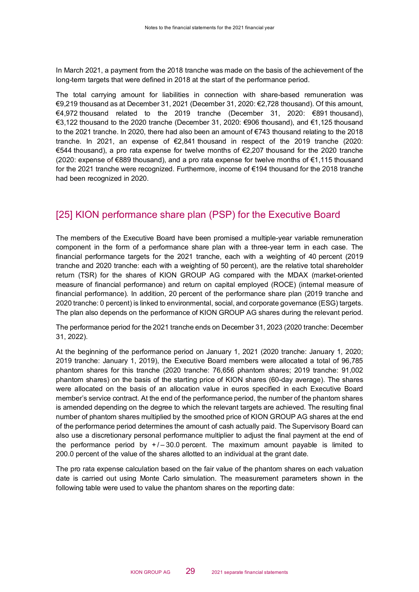In March 2021, a payment from the 2018 tranche was made on the basis of the achievement of the long-term targets that were defined in 2018 at the start of the performance period.

The total carrying amount for liabilities in connection with share-based remuneration was €9,219 thousand as at December 31, 2021 (December 31, 2020: €2,728 thousand). Of this amount,  $€4,972$  thousand related to the 2019 tranche (December 31, 2020:  $€891$  thousand), €3,122 thousand to the 2020 tranche (December 31, 2020: €906 thousand), and €1,125 thousand to the 2021 tranche. In 2020, there had also been an amount of €743 thousand relating to the 2018 tranche. In 2021, an expense of €2,841 thousand in respect of the 2019 tranche (2020: €544 thousand), a pro rata expense for twelve months of €2,207 thousand for the 2020 tranche (2020: expense of €889 thousand), and a pro rata expense for twelve months of  $\epsilon$ 1,115 thousand for the 2021 tranche were recognized. Furthermore, income of €194 thousand for the 2018 tranche had been recognized in 2020.

# [25] KION performance share plan (PSP) for the Executive Board

The members of the Executive Board have been promised a multiple-year variable remuneration component in the form of a performance share plan with a three-year term in each case. The financial performance targets for the 2021 tranche, each with a weighting of 40 percent (2019 tranche and 2020 tranche: each with a weighting of 50 percent), are the relative total shareholder return (TSR) for the shares of KION GROUP AG compared with the MDAX (market-oriented measure of financial performance) and return on capital employed (ROCE) (internal measure of financial performance). In addition, 20 percent of the performance share plan (2019 tranche and 2020 tranche: 0 percent) is linked to environmental, social, and corporate governance (ESG) targets. The plan also depends on the performance of KION GROUP AG shares during the relevant period.

The performance period for the 2021 tranche ends on December 31, 2023 (2020 tranche: December 31, 2022).

At the beginning of the performance period on January 1, 2021 (2020 tranche: January 1, 2020; 2019 tranche: January 1, 2019), the Executive Board members were allocated a total of 96,785 phantom shares for this tranche (2020 tranche: 76,656 phantom shares; 2019 tranche: 91,002 phantom shares) on the basis of the starting price of KION shares (60-day average). The shares were allocated on the basis of an allocation value in euros specified in each Executive Board member's service contract. At the end of the performance period, the number of the phantom shares is amended depending on the degree to which the relevant targets are achieved. The resulting final number of phantom shares multiplied by the smoothed price of KION GROUP AG shares at the end of the performance period determines the amount of cash actually paid. The Supervisory Board can also use a discretionary personal performance multiplier to adjust the final payment at the end of the performance period by  $+/-30.0$  percent. The maximum amount payable is limited to 200.0 percent of the value of the shares allotted to an individual at the grant date.

The pro rata expense calculation based on the fair value of the phantom shares on each valuation date is carried out using Monte Carlo simulation. The measurement parameters shown in the following table were used to value the phantom shares on the reporting date: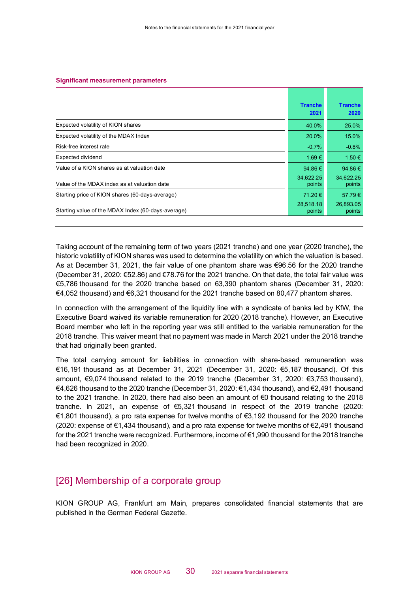#### **Significant measurement parameters**

|                                                    | <b>Tranche</b><br>2021 | <b>Tranche</b><br>2020 |
|----------------------------------------------------|------------------------|------------------------|
| Expected volatility of KION shares                 | 40.0%                  | 25.0%                  |
| Expected volatility of the MDAX Index              | 20.0%                  | 15.0%                  |
| Risk-free interest rate                            | $-0.7%$                | $-0.8%$                |
| Expected dividend                                  | 1.69 €                 | 1.50 €                 |
| Value of a KION shares as at valuation date        | 94.86€                 | 94.86€                 |
| Value of the MDAX index as at valuation date       | 34,622.25<br>points    | 34,622.25<br>points    |
| Starting price of KION shares (60-days-average)    | 71.20€                 | 57.79€                 |
| Starting value of the MDAX Index (60-days-average) | 28.518.18<br>points    | 26,893.05<br>points    |

Taking account of the remaining term of two years (2021 tranche) and one year (2020 tranche), the historic volatility of KION shares was used to determine the volatility on which the valuation is based. As at December 31, 2021, the fair value of one phantom share was €96.56 for the 2020 tranche (December 31, 2020: €52.86) and €78.76 for the 2021 tranche. On that date, the total fair value was €5,786 thousand for the 2020 tranche based on 63,390 phantom shares (December 31, 2020: €4,052 thousand) and €6,321 thousand for the 2021 tranche based on 80,477 phantom shares.

In connection with the arrangement of the liquidity line with a syndicate of banks led by KfW, the Executive Board waived its variable remuneration for 2020 (2018 tranche). However, an Executive Board member who left in the reporting year was still entitled to the variable remuneration for the 2018 tranche. This waiver meant that no payment was made in March 2021 under the 2018 tranche that had originally been granted.

The total carrying amount for liabilities in connection with share-based remuneration was €16,191 thousand as at December 31, 2021 (December 31, 2020: €5,187 thousand). Of this amount, €9,074 thousand related to the 2019 tranche (December 31, 2020: €3,753 thousand), €4,626 thousand to the 2020 tranche (December 31, 2020: €1,434 thousand), and €2,491 thousand to the 2021 tranche. In 2020, there had also been an amount of €0 thousand relating to the 2018 tranche. In 2021, an expense of €5,321 thousand in respect of the 2019 tranche (2020: €1,801 thousand), a pro rata expense for twelve months of €3,192 thousand for the 2020 tranche (2020: expense of €1,434 thousand), and a pro rata expense for twelve months of €2,491 thousand for the 2021 tranche were recognized. Furthermore, income of €1,990 thousand for the 2018 tranche had been recognized in 2020.

#### [26] Membership of a corporate group

KION GROUP AG, Frankfurt am Main, prepares consolidated financial statements that are published in the German Federal Gazette.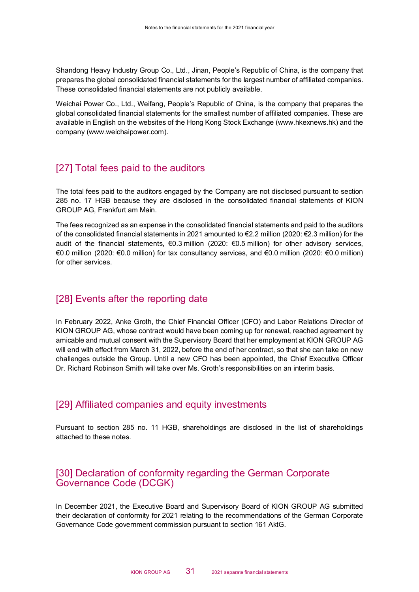Shandong Heavy Industry Group Co., Ltd., Jinan, People's Republic of China, is the company that prepares the global consolidated financial statements for the largest number of affiliated companies. These consolidated financial statements are not publicly available.

Weichai Power Co., Ltd., Weifang, People's Republic of China, is the company that prepares the global consolidated financial statements for the smallest number of affiliated companies. These are available in English on the websites of the Hong Kong Stock Exchange (www.hkexnews.hk) and the company (www.weichaipower.com).

# [27] Total fees paid to the auditors

The total fees paid to the auditors engaged by the Company are not disclosed pursuant to section 285 no. 17 HGB because they are disclosed in the consolidated financial statements of KION GROUP AG, Frankfurt am Main.

The fees recognized as an expense in the consolidated financial statements and paid to the auditors of the consolidated financial statements in 2021 amounted to €2.2 million (2020: €2.3 million) for the audit of the financial statements, €0.3 million (2020: €0.5 million) for other advisory services, €0.0 million (2020: €0.0 million) for tax consultancy services, and €0.0 million (2020: €0.0 million) for other services.

# [28] Events after the reporting date

In February 2022, Anke Groth, the Chief Financial Officer (CFO) and Labor Relations Director of KION GROUP AG, whose contract would have been coming up for renewal, reached agreement by amicable and mutual consent with the Supervisory Board that her employment at KION GROUP AG will end with effect from March 31, 2022, before the end of her contract, so that she can take on new challenges outside the Group. Until a new CFO has been appointed, the Chief Executive Officer Dr. Richard Robinson Smith will take over Ms. Groth's responsibilities on an interim basis.

# [29] Affiliated companies and equity investments

Pursuant to section 285 no. 11 HGB, shareholdings are disclosed in the list of shareholdings attached to these notes.

# [30] Declaration of conformity regarding the German Corporate Governance Code (DCGK)

In December 2021, the Executive Board and Supervisory Board of KION GROUP AG submitted their declaration of conformity for 2021 relating to the recommendations of the German Corporate Governance Code government commission pursuant to section 161 AktG.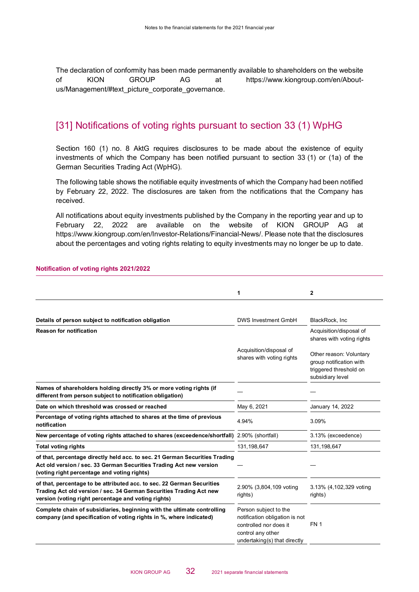The declaration of conformity has been made permanently available to shareholders on the website of KION GROUP AG at https://www.kiongroup.com/en/Aboutus/Management/#text\_picture\_corporate\_governance.

# [31] Notifications of voting rights pursuant to section 33 (1) WpHG

Section 160 (1) no. 8 AktG requires disclosures to be made about the existence of equity investments of which the Company has been notified pursuant to section 33 (1) or (1a) of the German Securities Trading Act (WpHG).

The following table shows the notifiable equity investments of which the Company had been notified by February 22, 2022. The disclosures are taken from the notifications that the Company has received.

All notifications about equity investments published by the Company in the reporting year and up to February 22, 2022 are available on the website of KION GROUP AG at https://www.kiongroup.com/en/Investor-Relations/Financial-News/. Please note that the disclosures about the percentages and voting rights relating to equity investments may no longer be up to date.

|                                                                                                                                                                                                      | 1                                                                                                                                      | $\mathbf{2}$                                                                                     |
|------------------------------------------------------------------------------------------------------------------------------------------------------------------------------------------------------|----------------------------------------------------------------------------------------------------------------------------------------|--------------------------------------------------------------------------------------------------|
|                                                                                                                                                                                                      |                                                                                                                                        |                                                                                                  |
| Details of person subject to notification obligation                                                                                                                                                 | <b>DWS Investment GmbH</b>                                                                                                             | BlackRock, Inc.                                                                                  |
| <b>Reason for notification</b>                                                                                                                                                                       |                                                                                                                                        | Acquisition/disposal of<br>shares with voting rights                                             |
|                                                                                                                                                                                                      | Acquisition/disposal of<br>shares with voting rights                                                                                   | Other reason: Voluntary<br>group notification with<br>triggered threshold on<br>subsidiary level |
| Names of shareholders holding directly 3% or more voting rights (if<br>different from person subject to notification obligation)                                                                     |                                                                                                                                        |                                                                                                  |
| Date on which threshold was crossed or reached                                                                                                                                                       | May 6, 2021                                                                                                                            | January 14, 2022                                                                                 |
| Percentage of voting rights attached to shares at the time of previous<br>notification                                                                                                               | 4.94%                                                                                                                                  | 3.09%                                                                                            |
| New percentage of voting rights attached to shares (exceedence/shortfall) 2.90% (shortfall)                                                                                                          |                                                                                                                                        | 3.13% (exceedence)                                                                               |
| <b>Total voting rights</b>                                                                                                                                                                           | 131, 198, 647                                                                                                                          | 131, 198, 647                                                                                    |
| of that, percentage directly held acc. to sec. 21 German Securities Trading<br>Act old version / sec. 33 German Securities Trading Act new version<br>(voting right percentage and voting rights)    |                                                                                                                                        |                                                                                                  |
| of that, percentage to be attributed acc. to sec. 22 German Securities<br>Trading Act old version / sec. 34 German Securities Trading Act new<br>version (voting right percentage and voting rights) | 2.90% (3,804,109 voting<br>rights)                                                                                                     | 3.13% (4,102,329 voting<br>rights)                                                               |
| Complete chain of subsidiaries, beginning with the ultimate controlling<br>company (and specification of voting rights in %, where indicated)                                                        | Person subject to the<br>notification obligation is not<br>controlled nor does it<br>control any other<br>undertaking(s) that directly | FN <sub>1</sub>                                                                                  |

#### **Notification of voting rights 2021/2022**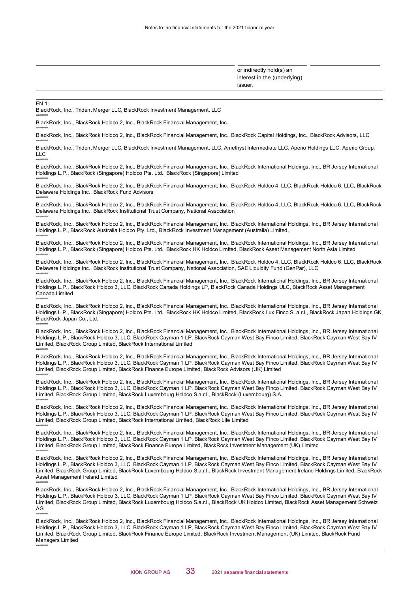or indirectly hold(s) an interest in the (underlying) issuer.

#### FN 1:

\*\*\*\*\*\*

BlackRock, Inc., Trident Merger LLC, BlackRock Investment Management, LLC

\*\*\*\*\*\* BlackRock, Inc., BlackRock Holdco 2, Inc., BlackRock Financial Management, Inc.

\*\*\*\*\*\* BlackRock, Inc., BlackRock Holdco 2, Inc., BlackRock Financial Management, Inc., BlackRock Capital Holdings, Inc., BlackRock Advisors, LLC

\*\*\*\*\*\* BlackRock, Inc., Trident Merger LLC, BlackRock Investment Management, LLC, Amethyst Intermediate LLC, Aperio Holdings LLC, Aperio Group, LLC

\*\*\*\*\*\* BlackRock, Inc., BlackRock Holdco 2, Inc., BlackRock Financial Management, Inc., BlackRock International Holdings, Inc., BR Jersey International Holdings L.P., BlackRock (Singapore) Holdco Pte. Ltd., BlackRock (Singapore) Limited

\*\*\*\*\*\* BlackRock, Inc., BlackRock Holdco 2, Inc., BlackRock Financial Management, Inc., BlackRock Holdco 4, LLC, BlackRock Holdco 6, LLC, BlackRock Delaware Holdings Inc., BlackRock Fund Advisors

\*\*\*\*\*\* BlackRock, Inc., BlackRock Holdco 2, Inc., BlackRock Financial Management, Inc., BlackRock Holdco 4, LLC, BlackRock Holdco 6, LLC, BlackRock Delaware Holdings Inc., BlackRock Institutional Trust Company, National Association

\*\*\*\*\*\* BlackRock, Inc., BlackRock Holdco 2, Inc., BlackRock Financial Management, Inc., BlackRock International Holdings, Inc., BR Jersey International Holdings L.P., BlackRock Australia Holdco Pty. Ltd., BlackRock Investment Management (Australia) Limited,

\*\*\*\*\*\* BlackRock, Inc., BlackRock Holdco 2, Inc., BlackRock Financial Management, Inc., BlackRock International Holdings, Inc., BR Jersey International Holdings L.P., BlackRock (Singapore) Holdco Pte. Ltd., BlackRock HK Holdco Limited, BlackRock Asset Management North Asia Limited

\*\*\*\*\*\* BlackRock, Inc., BlackRock Holdco 2, Inc., BlackRock Financial Management, Inc., BlackRock Holdco 4, LLC, BlackRock Holdco 6, LLC, BlackRock Delaware Holdings Inc., BlackRock Institutional Trust Company, National Association, SAE Liquidity Fund (GenPar), LLC \*\*\*\*\*\*

BlackRock, Inc., BlackRock Holdco 2, Inc., BlackRock Financial Management, Inc., BlackRock International Holdings, Inc., BR Jersey International Holdings L.P., BlackRock Holdco 3, LLC, BlackRock Canada Holdings LP, BlackRock Canada Holdings ULC, BlackRock Asset Management Canada Limited

\*\*\*\*\*\* BlackRock, Inc., BlackRock Holdco 2, Inc., BlackRock Financial Management, Inc., BlackRock International Holdings, Inc., BR Jersey International Holdings L.P., BlackRock (Singapore) Holdco Pte. Ltd., BlackRock HK Holdco Limited, BlackRock Lux Finco S. a r.l., BlackRock Japan Holdings GK, BlackRock Japan Co., Ltd.

\*\*\*\*\*\* BlackRock, Inc., BlackRock Holdco 2, Inc., BlackRock Financial Management, Inc., BlackRock International Holdings, Inc., BR Jersey International Holdings L.P., BlackRock Holdco 3, LLC, BlackRock Cayman 1 LP, BlackRock Cayman West Bay Finco Limited, BlackRock Cayman West Bay IV Limited, BlackRock Group Limited, BlackRock International Limited

\*\*\*\*\*\* BlackRock, Inc., BlackRock Holdco 2, Inc., BlackRock Financial Management, Inc., BlackRock International Holdings, Inc., BR Jersey International Holdings L.P., BlackRock Holdco 3, LLC, BlackRock Cayman 1 LP, BlackRock Cayman West Bay Finco Limited, BlackRock Cayman West Bay IV Limited, BlackRock Group Limited, BlackRock Finance Europe Limited, BlackRock Advisors (UK) Limited \*\*\*\*\*\*

BlackRock, Inc., BlackRock Holdco 2, Inc., BlackRock Financial Management, Inc., BlackRock International Holdings, Inc., BR Jersey International Holdings L.P., BlackRock Holdco 3, LLC, BlackRock Cayman 1 LP, BlackRock Cayman West Bay Finco Limited, BlackRock Cayman West Bay IV Limited, BlackRock Group Limited, BlackRock Luxembourg Holdco S.a.r.l., BlackRock (Luxembourg) S.A. \*\*\*\*\*\*

BlackRock, Inc., BlackRock Holdco 2, Inc., BlackRock Financial Management, Inc., BlackRock International Holdings, Inc., BR Jersey International Holdings L.P., BlackRock Holdco 3, LLC, BlackRock Cayman 1 LP, BlackRock Cayman West Bay Finco Limited, BlackRock Cayman West Bay IV Limited, BlackRock Group Limited, BlackRock International Limited, BlackRock Life Limited \*\*\*\*\*\*

BlackRock, Inc., BlackRock Holdco 2, Inc., BlackRock Financial Management, Inc., BlackRock International Holdings, Inc., BR Jersey International Holdings L.P., BlackRock Holdco 3, LLC, BlackRock Cayman 1 LP, BlackRock Cayman West Bay Finco Limited, BlackRock Cayman West Bay IV Limited, BlackRock Group Limited, BlackRock Finance Europe Limited, BlackRock Investment Management (UK) Limited \*\*\*\*\*\*

BlackRock, Inc., BlackRock Holdco 2, Inc., BlackRock Financial Management, Inc., BlackRock International Holdings, Inc., BR Jersey International Holdings L.P., BlackRock Holdco 3, LLC, BlackRock Cayman 1 LP, BlackRock Cayman West Bay Finco Limited, BlackRock Cayman West Bay IV Limited, BlackRock Group Limited, BlackRock Luxembourg Holdco S.a.r.l., BlackRock Investment Management Ireland Holdings Limited, BlackRock Asset Management Ireland Limited

\*\*\*\*\*\* BlackRock, Inc., BlackRock Holdco 2, Inc., BlackRock Financial Management, Inc., BlackRock International Holdings, Inc., BR Jersey International Holdings L.P., BlackRock Holdco 3, LLC, BlackRock Cayman 1 LP, BlackRock Cayman West Bay Finco Limited, BlackRock Cayman West Bay IV Limited, BlackRock Group Limited, BlackRock Luxembourg Holdco S.a.r.l., BlackRock UK Holdco Limited, BlackRock Asset Management Schweiz AG

BlackRock, Inc., BlackRock Holdco 2, Inc., BlackRock Financial Management, Inc., BlackRock International Holdings, Inc., BR Jersey International Holdings L.P., BlackRock Holdco 3, LLC, BlackRock Cayman 1 LP, BlackRock Cayman West Bay Finco Limited, BlackRock Cayman West Bay IV Limited, BlackRock Group Limited, BlackRock Finance Europe Limited, BlackRock Investment Management (UK) Limited, BlackRock Fund Managers Limited \*\*\*\*\*\*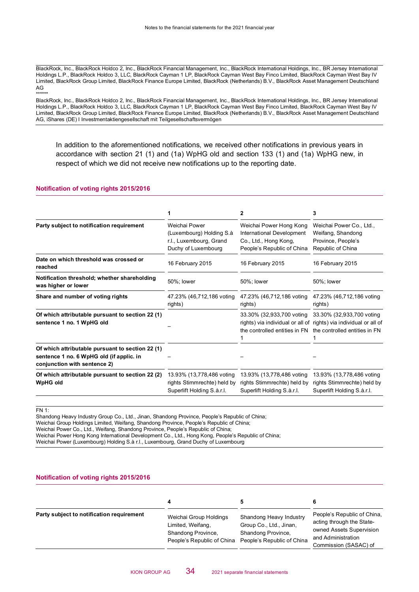BlackRock, Inc., BlackRock Holdco 2, Inc., BlackRock Financial Management, Inc., BlackRock International Holdings, Inc., BR Jersey International Holdings L.P., BlackRock Holdco 3, LLC, BlackRock Cayman 1 LP, BlackRock Cayman West Bay Finco Limited, BlackRock Cayman West Bay IV Limited, BlackRock Group Limited, BlackRock Finance Europe Limited, BlackRock (Netherlands) B.V., BlackRock Asset Management Deutschland AG

\*\*\*\*\*\* BlackRock, Inc., BlackRock Holdco 2, Inc., BlackRock Financial Management, Inc., BlackRock International Holdings, Inc., BR Jersey International Holdings L.P., BlackRock Holdco 3, LLC, BlackRock Cayman 1 LP, BlackRock Cayman West Bay Finco Limited, BlackRock Cayman West Bay IV Limited, BlackRock Group Limited, BlackRock Finance Europe Limited, BlackRock (Netherlands) B.V., BlackRock Asset Management Deutschland AG, iShares (DE) I Investmentaktiengesellschaft mit Teilgesellschaftsvermögen

In addition to the aforementioned notifications, we received other notifications in previous years in accordance with section 21 (1) and (1a) WpHG old and section 133 (1) and (1a) WpHG new, in respect of which we did not receive new notifications up to the reporting date.

#### **Notification of voting rights 2015/2016**

|                                                                                                                              |                                                                                             | 2                                                                                                           | 3                                                                                                                               |
|------------------------------------------------------------------------------------------------------------------------------|---------------------------------------------------------------------------------------------|-------------------------------------------------------------------------------------------------------------|---------------------------------------------------------------------------------------------------------------------------------|
| Party subject to notification requirement                                                                                    | Weichai Power<br>(Luxembourg) Holding S.à<br>r.l., Luxembourg, Grand<br>Duchy of Luxembourg | Weichai Power Hong Kong<br>International Development<br>Co., Ltd., Hong Kong,<br>People's Republic of China | Weichai Power Co., Ltd.,<br>Weifang, Shandong<br>Province, People's<br>Republic of China                                        |
| Date on which threshold was crossed or<br>reached                                                                            | 16 February 2015                                                                            | 16 February 2015                                                                                            | 16 February 2015                                                                                                                |
| Notification threshold; whether shareholding<br>was higher or lower                                                          | 50%; lower                                                                                  | 50%; lower                                                                                                  | 50%; lower                                                                                                                      |
| Share and number of voting rights                                                                                            | 47.23% (46,712,186 voting<br>rights)                                                        | 47.23% (46,712,186 voting<br>rights)                                                                        | 47.23% (46,712,186 voting<br>rights)                                                                                            |
| Of which attributable pursuant to section 22 (1)<br>sentence 1 no. 1 WpHG old                                                |                                                                                             | 33.30% (32,933,700 voting<br>the controlled entities in FN                                                  | 33.30% (32,933,700 voting<br>rights) via individual or all of rights) via individual or all of<br>the controlled entities in FN |
| Of which attributable pursuant to section 22 (1)<br>sentence 1 no. 6 WpHG old (if applic. in<br>conjunction with sentence 2) |                                                                                             |                                                                                                             |                                                                                                                                 |
| Of which attributable pursuant to section 22 (2)<br><b>WpHG old</b>                                                          | 13.93% (13,778,486 voting<br>rights Stimmrechte) held by<br>Superlift Holding S.a.r.l.      | 13.93% (13,778,486 voting<br>rights Stimmrechte) held by<br>Superlift Holding S.a.r.l.                      | 13.93% (13,778,486 voting<br>rights Stimmrechte) held by<br>Superlift Holding S.a.r.l.                                          |

FN 1:

Shandong Heavy Industry Group Co., Ltd., Jinan, Shandong Province, People's Republic of China;

Weichai Group Holdings Limited, Weifang, Shandong Province, People's Republic of China;

Weichai Power Co., Ltd., Weifang, Shandong Province, People's Republic of China;

Weichai Power Hong Kong International Development Co., Ltd., Hong Kong, People's Republic of China;

Weichai Power (Luxembourg) Holding S.à r.l., Luxembourg, Grand Duchy of Luxembourg

#### **Notification of voting rights 2015/2016**

|                                           | 4                                                                                               |                                                                                                        | 6                                                                                                                                   |
|-------------------------------------------|-------------------------------------------------------------------------------------------------|--------------------------------------------------------------------------------------------------------|-------------------------------------------------------------------------------------------------------------------------------------|
| Party subject to notification requirement | Weichai Group Holdings<br>Limited, Weifang,<br>Shandong Province,<br>People's Republic of China | Shandong Heavy Industry<br>Group Co., Ltd., Jinan,<br>Shandong Province,<br>People's Republic of China | People's Republic of China,<br>acting through the State-<br>owned Assets Supervision<br>and Administration<br>Commission (SASAC) of |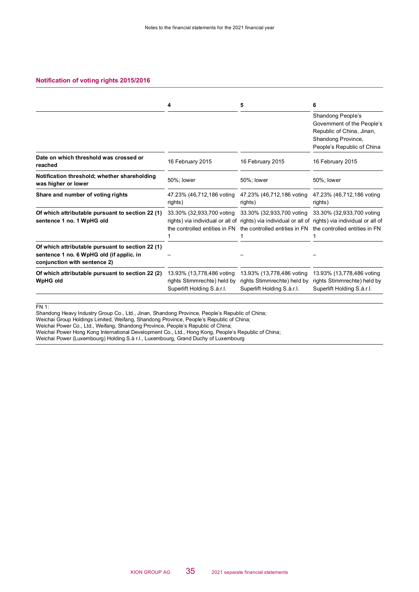#### **Notification of voting rights 2015/2016**

|                                                                                                                              | 4                                                                                      | 5                                                                                                                                                                | 6                                                                                                                                |
|------------------------------------------------------------------------------------------------------------------------------|----------------------------------------------------------------------------------------|------------------------------------------------------------------------------------------------------------------------------------------------------------------|----------------------------------------------------------------------------------------------------------------------------------|
|                                                                                                                              |                                                                                        |                                                                                                                                                                  | Shandong People's<br>Government of the People's<br>Republic of China, Jinan,<br>Shandong Province,<br>People's Republic of China |
| Date on which threshold was crossed or<br>reached                                                                            | 16 February 2015                                                                       | 16 February 2015                                                                                                                                                 | 16 February 2015                                                                                                                 |
| Notification threshold; whether shareholding<br>was higher or lower                                                          | 50%; lower                                                                             | 50%; lower                                                                                                                                                       | 50%; lower                                                                                                                       |
| Share and number of voting rights                                                                                            | 47.23% (46,712,186 voting<br>rights)                                                   | 47.23% (46,712,186 voting<br>rights)                                                                                                                             | 47.23% (46,712,186 voting<br>rights)                                                                                             |
| Of which attributable pursuant to section 22 (1)<br>sentence 1 no. 1 WpHG old                                                | 33.30% (32,933,700 voting<br>the controlled entities in FN                             | 33.30% (32,933,700 voting<br>rights) via individual or all of rights) via individual or all of rights) via individual or all of<br>the controlled entities in FN | 33.30% (32,933,700 voting<br>the controlled entities in FN                                                                       |
| Of which attributable pursuant to section 22 (1)<br>sentence 1 no. 6 WpHG old (if applic. in<br>conjunction with sentence 2) |                                                                                        |                                                                                                                                                                  |                                                                                                                                  |
| Of which attributable pursuant to section 22 (2)<br><b>WpHG</b> old                                                          | 13.93% (13,778,486 voting<br>rights Stimmrechte) held by<br>Superlift Holding S.a.r.l. | 13.93% (13,778,486 voting<br>rights Stimmrechte) held by<br>Superlift Holding S.a.r.l.                                                                           | 13.93% (13,778,486 voting<br>rights Stimmrechte) held by<br>Superlift Holding S.a.r.l.                                           |

FN 1:

Shandong Heavy Industry Group Co., Ltd., Jinan, Shandong Province, People's Republic of China;

Weichai Group Holdings Limited, Weifang, Shandong Province, People's Republic of China;

Weichai Power Co., Ltd., Weifang, Shandong Province, People's Republic of China;

Weichai Power Hong Kong International Development Co., Ltd., Hong Kong, People's Republic of China;

Weichai Power (Luxembourg) Holding S.à r.l., Luxembourg, Grand Duchy of Luxembourg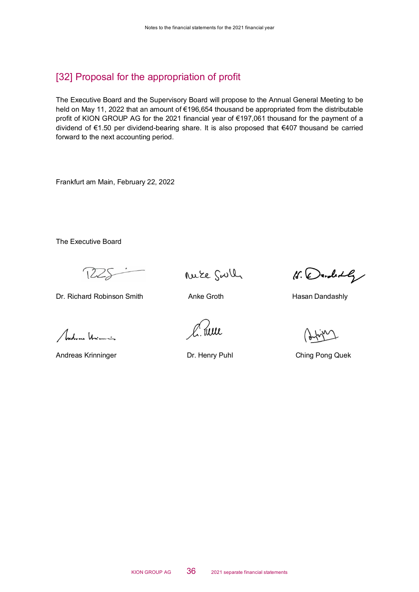# [32] Proposal for the appropriation of profit

The Executive Board and the Supervisory Board will propose to the Annual General Meeting to be held on May 11, 2022 that an amount of €196,654 thousand be appropriated from the distributable profit of KION GROUP AG for the 2021 financial year of €197,061 thousand for the payment of a dividend of €1.50 per dividend-bearing share. It is also proposed that €407 thousand be carried forward to the next accounting period.

Frankfurt am Main, February 22, 2022

The Executive Board

Dr. Richard Robinson Smith Anke Groth Ankerson Hasan Dandashly

Ruse Swll

1. Danderly

Andrew University

Andreas Krinninger **Dr. Henry Puhl Ching Pong Quek** Ching Pong Quek

P. neve

KION GROUP AG  $36$  2021 separate financial statements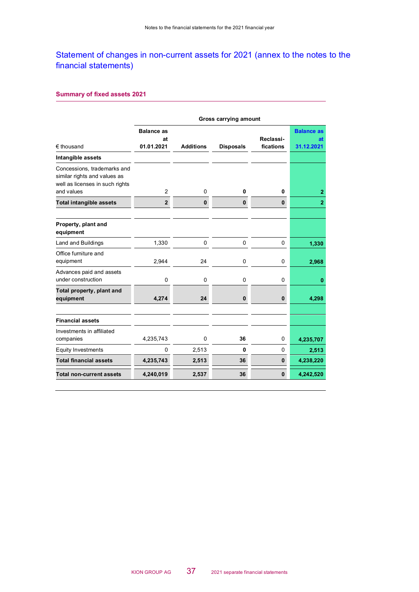# Statement of changes in non-current assets for 2021 (annex to the notes to the financial statements)

#### **Summary of fixed assets 2021**

|                                                                                                              | Gross carrying amount                 |                  |                  |                        |                                       |  |  |  |  |
|--------------------------------------------------------------------------------------------------------------|---------------------------------------|------------------|------------------|------------------------|---------------------------------------|--|--|--|--|
| $\epsilon$ thousand                                                                                          | <b>Balance as</b><br>at<br>01.01.2021 | <b>Additions</b> | <b>Disposals</b> | Reclassi-<br>fications | <b>Balance as</b><br>at<br>31.12.2021 |  |  |  |  |
| Intangible assets                                                                                            |                                       |                  |                  |                        |                                       |  |  |  |  |
| Concessions, trademarks and<br>similar rights and values as<br>well as licenses in such rights<br>and values | $\overline{2}$                        | $\mathbf 0$      | 0                | 0                      | $\overline{2}$                        |  |  |  |  |
| <b>Total intangible assets</b>                                                                               | $\mathbf{2}$                          | $\mathbf{0}$     | $\bf{0}$         | 0                      | $\overline{2}$                        |  |  |  |  |
| Property, plant and<br>equipment                                                                             |                                       |                  |                  |                        |                                       |  |  |  |  |
| Land and Buildings                                                                                           | 1,330                                 | $\mathbf 0$      | $\mathbf 0$      | $\mathbf 0$            | 1,330                                 |  |  |  |  |
| Office furniture and<br>equipment                                                                            | 2,944                                 | 24               | 0                | 0                      | 2,968                                 |  |  |  |  |
| Advances paid and assets<br>under construction                                                               | $\mathbf 0$                           | $\mathbf 0$      | 0                | 0                      | $\bf{0}$                              |  |  |  |  |
| Total property, plant and<br>equipment                                                                       | 4,274                                 | 24               | 0                | 0                      | 4,298                                 |  |  |  |  |
| <b>Financial assets</b>                                                                                      |                                       |                  |                  |                        |                                       |  |  |  |  |
| Investments in affiliated<br>companies                                                                       | 4,235,743                             | 0                | 36               | 0                      | 4,235,707                             |  |  |  |  |
| <b>Equity Investments</b>                                                                                    | 0                                     | 2,513            | 0                | 0                      | 2,513                                 |  |  |  |  |
| <b>Total financial assets</b>                                                                                | 4,235,743                             | 2,513            | 36               | 0                      | 4,238,220                             |  |  |  |  |
| <b>Total non-current assets</b>                                                                              | 4,240,019                             | 2,537            | 36               | 0                      | 4,242,520                             |  |  |  |  |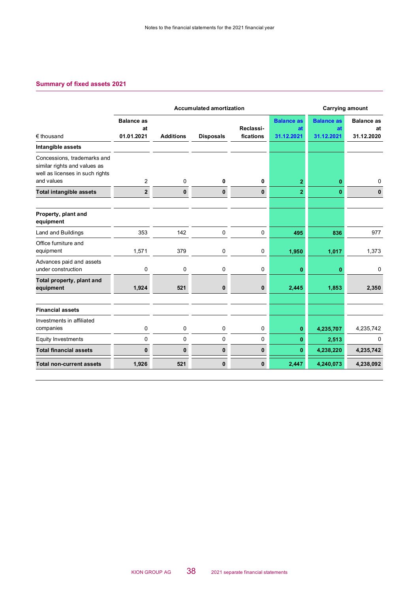#### **Summary of fixed assets 2021**

|                                                                                                              |                                       |                  | <b>Accumulated amortization</b> |                        |                                       | <b>Carrying amount</b>                |                                       |
|--------------------------------------------------------------------------------------------------------------|---------------------------------------|------------------|---------------------------------|------------------------|---------------------------------------|---------------------------------------|---------------------------------------|
| $\epsilon$ thousand                                                                                          | <b>Balance as</b><br>at<br>01.01.2021 | <b>Additions</b> | <b>Disposals</b>                | Reclassi-<br>fications | <b>Balance as</b><br>at<br>31.12.2021 | <b>Balance as</b><br>at<br>31.12.2021 | <b>Balance as</b><br>at<br>31.12.2020 |
| Intangible assets                                                                                            |                                       |                  |                                 |                        |                                       |                                       |                                       |
| Concessions, trademarks and<br>similar rights and values as<br>well as licenses in such rights<br>and values | 2                                     | 0                | 0                               | 0                      | 2                                     | 0                                     | 0                                     |
| <b>Total intangible assets</b>                                                                               | $\mathbf{2}$                          | 0                | 0                               | $\mathbf{0}$           | $\overline{2}$                        | $\bf{0}$                              | 0                                     |
| Property, plant and<br>equipment                                                                             |                                       |                  |                                 |                        |                                       |                                       |                                       |
| Land and Buildings                                                                                           | 353                                   | 142              | $\pmb{0}$                       | 0                      | 495                                   | 836                                   | 977                                   |
| Office furniture and<br>equipment                                                                            | 1,571                                 | 379              | 0                               | 0                      | 1,950                                 | 1,017                                 | 1,373                                 |
| Advances paid and assets<br>under construction                                                               | 0                                     | 0                | 0                               | 0                      | $\bf{0}$                              | 0                                     | 0                                     |
| Total property, plant and<br>equipment                                                                       | 1,924                                 | 521              | 0                               | $\mathbf{0}$           | 2,445                                 | 1,853                                 | 2,350                                 |
| <b>Financial assets</b>                                                                                      |                                       |                  |                                 |                        |                                       |                                       |                                       |
| Investments in affiliated<br>companies                                                                       | 0                                     | 0                | 0                               | 0                      | $\bf{0}$                              | 4,235,707                             | 4,235,742                             |
| <b>Equity Investments</b>                                                                                    | $\mathbf 0$                           | 0                | 0                               | 0                      | $\bf{0}$                              | 2,513                                 | 0                                     |
| <b>Total financial assets</b>                                                                                | $\bf{0}$                              | 0                | 0                               | 0                      | 0                                     | 4,238,220                             | 4,235,742                             |
| <b>Total non-current assets</b>                                                                              | 1,926                                 | 521              | $\bf{0}$                        | $\bf{0}$               | 2,447                                 | 4,240,073                             | 4,238,092                             |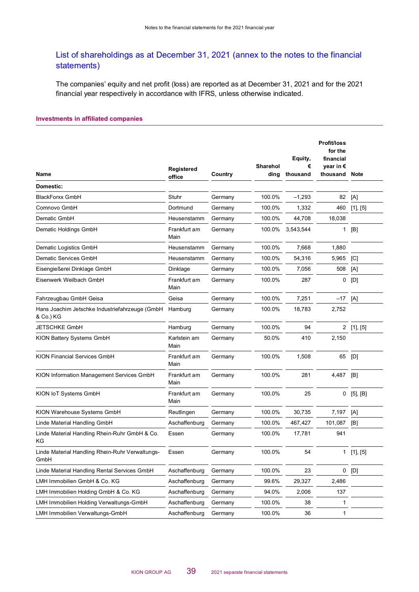# List of shareholdings as at December 31, 2021 (annex to the notes to the financial statements)

The companies' equity and net profit (loss) are reported as at December 31, 2021 and for the 2021 financial year respectively in accordance with IFRS, unless otherwise indicated.

| Name                                                        | Registered<br>office | Country | <b>Sharehol</b><br>ding | Equity,<br>€<br>thousand | <b>Profit/loss</b><br>for the<br>financial<br>year in $\epsilon$<br>thousand Note |              |
|-------------------------------------------------------------|----------------------|---------|-------------------------|--------------------------|-----------------------------------------------------------------------------------|--------------|
| Domestic:                                                   |                      |         |                         |                          |                                                                                   |              |
| <b>BlackForxx GmbH</b>                                      | Stuhr                | Germany | 100.0%                  | $-1,293$                 | 82                                                                                | [A]          |
| Comnovo GmbH                                                | Dortmund             | Germany | 100.0%                  | 1,332                    | 460                                                                               | [1], [5]     |
| Dematic GmbH                                                | Heusenstamm          | Germany | 100.0%                  | 44,708                   | 18,038                                                                            |              |
| Dematic Holdings GmbH                                       | Frankfurt am<br>Main | Germany | 100.0%                  | 3,543,544                | $\mathbf{1}$                                                                      | [B]          |
| Dematic Logistics GmbH                                      | Heusenstamm          | Germany | 100.0%                  | 7,668                    | 1,880                                                                             |              |
| Dematic Services GmbH                                       | Heusenstamm          | Germany | 100.0%                  | 54,316                   | 5,965                                                                             | [C]          |
| Eisengießerei Dinklage GmbH                                 | Dinklage             | Germany | 100.0%                  | 7,056                    | 508                                                                               | [A]          |
| Eisenwerk Weilbach GmbH                                     | Frankfurt am<br>Main | Germany | 100.0%                  | 287                      | 0                                                                                 | [D]          |
| Fahrzeugbau GmbH Geisa                                      | Geisa                | Germany | 100.0%                  | 7,251                    | $-17$                                                                             | [A]          |
| Hans Joachim Jetschke Industriefahrzeuge (GmbH<br>& Co.) KG | Hamburg              | Germany | 100.0%                  | 18,783                   | 2,752                                                                             |              |
| JETSCHKE GmbH                                               | Hamburg              | Germany | 100.0%                  | 94                       |                                                                                   | 2 [1], [5]   |
| KION Battery Systems GmbH                                   | Karlstein am<br>Main | Germany | 50.0%                   | 410                      | 2,150                                                                             |              |
| <b>KION Financial Services GmbH</b>                         | Frankfurt am<br>Main | Germany | 100.0%                  | 1,508                    | 65                                                                                | [D]          |
| KION Information Management Services GmbH                   | Frankfurt am<br>Main | Germany | 100.0%                  | 281                      | 4,487                                                                             | [B]          |
| KION IoT Systems GmbH                                       | Frankfurt am<br>Main | Germany | 100.0%                  | 25                       |                                                                                   | $0$ [5], [B] |
| KION Warehouse Systems GmbH                                 | Reutlingen           | Germany | 100.0%                  | 30,735                   | 7,197                                                                             | [A]          |
| Linde Material Handling GmbH                                | Aschaffenburg        | Germany | 100.0%                  | 467,427                  | 101.087                                                                           | [B]          |
| Linde Material Handling Rhein-Ruhr GmbH & Co.<br>ΚG         | Essen                | Germany | 100.0%                  | 17,781                   | 941                                                                               |              |
| Linde Material Handling Rhein-Ruhr Verwaltungs-<br>GmbH     | Essen                | Germany | 100.0%                  | 54                       |                                                                                   | $1$ [1], [5] |
| Linde Material Handling Rental Services GmbH                | Aschaffenburg        | Germany | 100.0%                  | 23                       | 0                                                                                 | [D]          |
| LMH Immobilien GmbH & Co. KG                                | Aschaffenburg        | Germany | 99.6%                   | 29,327                   | 2,486                                                                             |              |
| LMH Immobilien Holding GmbH & Co. KG                        | Aschaffenburg        | Germany | 94.0%                   | 2,006                    | 137                                                                               |              |
| LMH Immobilien Holding Verwaltungs-GmbH                     | Aschaffenburg        | Germany | 100.0%                  | 38                       | 1                                                                                 |              |
| LMH Immobilien Verwaltungs-GmbH                             | Aschaffenburg        | Germany | 100.0%                  | 36                       | $\mathbf{1}$                                                                      |              |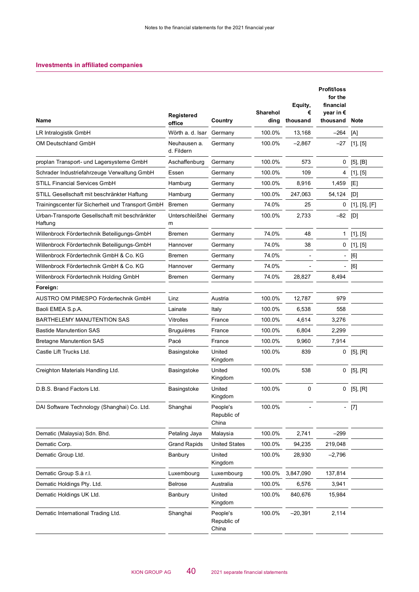| Name                                                      | Registered<br>office       | Country                          | <b>Sharehol</b><br>ding | Equity,<br>€<br>thousand | <b>Profit/loss</b><br>for the<br>financial<br>year in €<br>thousand | <b>Note</b>   |
|-----------------------------------------------------------|----------------------------|----------------------------------|-------------------------|--------------------------|---------------------------------------------------------------------|---------------|
| LR Intralogistik GmbH                                     | Wörth a. d. Isar           | Germany                          | 100.0%                  | 13,168                   | -264                                                                | [A]           |
| OM Deutschland GmbH                                       | Neuhausen a.<br>d. Fildern | Germany                          | 100.0%                  | $-2,867$                 | -27                                                                 | [1], [5]      |
| proplan Transport- und Lagersysteme GmbH                  | Aschaffenburg              | Germany                          | 100.0%                  | 573                      | 0                                                                   | $[5]$ , $[B]$ |
| Schrader Industriefahrzeuge Verwaltung GmbH               | Essen                      | Germany                          | 100.0%                  | 109                      | 4                                                                   | $[1]$ , $[5]$ |
| <b>STILL Financial Services GmbH</b>                      | Hamburg                    | Germany                          | 100.0%                  | 8,916                    | 1,459                                                               | [E]           |
| STILL Gesellschaft mit beschränkter Haftung               | Hamburg                    | Germany                          | 100.0%                  | 247,063                  | 54,124                                                              | [D]           |
| Trainingscenter für Sicherheit und Transport GmbH         | <b>Bremen</b>              | Germany                          | 74.0%                   | 25                       | 0                                                                   | [1], [5], [F] |
| Urban-Transporte Gesellschaft mit beschränkter<br>Haftung | Unterschleißhei<br>m       | Germany                          | 100.0%                  | 2,733                    | $-82$                                                               | [D]           |
| Willenbrock Fördertechnik Beteiligungs-GmbH               | Bremen                     | Germany                          | 74.0%                   | 48                       | 1                                                                   | [1], [5]      |
| Willenbrock Fördertechnik Beteiligungs-GmbH               | Hannover                   | Germany                          | 74.0%                   | 38                       | 0                                                                   | [1], [5]      |
| Willenbrock Fördertechnik GmbH & Co. KG                   | <b>Bremen</b>              | Germany                          | 74.0%                   |                          | $\overline{a}$                                                      | [6]           |
| Willenbrock Fördertechnik GmbH & Co. KG                   | Hannover                   | Germany                          | 74.0%                   |                          | $\qquad \qquad \blacksquare$                                        | [6]           |
| Willenbrock Fördertechnik Holding GmbH                    | Bremen                     | Germany                          | 74.0%                   | 28.827                   | 8,494                                                               |               |
| Foreign:                                                  |                            |                                  |                         |                          |                                                                     |               |
| AUSTRO OM PIMESPO Fördertechnik GmbH                      | Linz                       | Austria                          | 100.0%                  | 12,787                   | 979                                                                 |               |
| Baoli EMEA S.p.A.                                         | Lainate                    | Italy                            | 100.0%                  | 6,538                    | 558                                                                 |               |
| <b>BARTHELEMY MANUTENTION SAS</b>                         | <b>Vitrolles</b>           | France                           | 100.0%                  | 4,614                    | 3,276                                                               |               |
| <b>Bastide Manutention SAS</b>                            | <b>Bruguières</b>          | France                           | 100.0%                  | 6,804                    | 2,299                                                               |               |
| <b>Bretagne Manutention SAS</b>                           | Pacé                       | France                           | 100.0%                  | 9,960                    | 7,914                                                               |               |
| Castle Lift Trucks Ltd.                                   | Basingstoke                | United<br>Kingdom                | 100.0%                  | 839                      |                                                                     | $0$ [5], [R]  |
| Creighton Materials Handling Ltd.                         | Basingstoke                | United<br>Kingdom                | 100.0%                  | 538                      |                                                                     | $0$ [5], [R]  |
| D.B.S. Brand Factors Ltd.                                 | Basingstoke                | United<br>Kingdom                | 100.0%                  | 0                        |                                                                     | $0$ [5], [R]  |
| DAI Software Technology (Shanghai) Co. Ltd.               | Shanghai                   | People's<br>Republic of<br>China | 100.0%                  |                          |                                                                     | $-$ [7]       |
| Dematic (Malaysia) Sdn. Bhd.                              | Petaling Jaya              | Malaysia                         | 100.0%                  | 2,741                    | $-299$                                                              |               |
| Dematic Corp.                                             | <b>Grand Rapids</b>        | <b>United States</b>             | 100.0%                  | 94,235                   | 219,048                                                             |               |
| Dematic Group Ltd.                                        | Banbury                    | United<br>Kingdom                | 100.0%                  | 28,930                   | $-2,796$                                                            |               |
| Dematic Group S.à r.l.                                    | Luxembourg                 | Luxembourg                       | 100.0%                  | 3,847,090                | 137,814                                                             |               |
| Dematic Holdings Pty. Ltd.                                | <b>Belrose</b>             | Australia                        | 100.0%                  | 6,576                    | 3,941                                                               |               |
| Dematic Holdings UK Ltd.                                  | Banbury                    | United<br>Kingdom                | 100.0%                  | 840,676                  | 15,984                                                              |               |
| Dematic International Trading Ltd.                        | Shanghai                   | People's<br>Republic of<br>China | 100.0%                  | $-20,391$                | 2,114                                                               |               |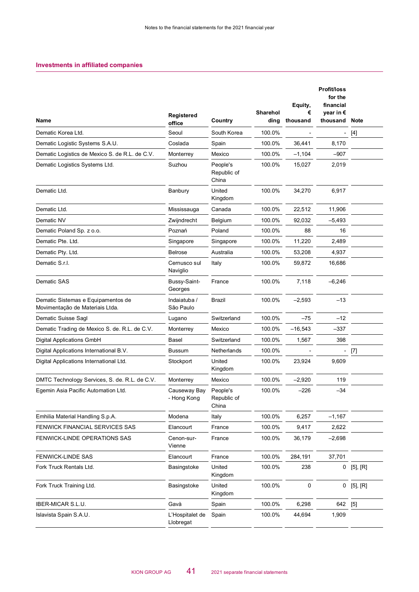| Name                                                                  | Registered<br>office         | Country                          | <b>Sharehol</b><br>ding | Equity,<br>€<br>thousand | <b>Profit/loss</b><br>for the<br>financial<br>year in €<br>thousand | <b>Note</b>   |
|-----------------------------------------------------------------------|------------------------------|----------------------------------|-------------------------|--------------------------|---------------------------------------------------------------------|---------------|
| Dematic Korea Ltd.                                                    | Seoul                        | South Korea                      | 100.0%                  |                          |                                                                     | [4]           |
| Dematic Logistic Systems S.A.U.                                       | Coslada                      | Spain                            | 100.0%                  | 36,441                   | 8,170                                                               |               |
| Dematic Logistics de Mexico S. de R.L. de C.V.                        | Monterrey                    | Mexico                           | 100.0%                  | $-1,104$                 | $-907$                                                              |               |
| Dematic Logistics Systems Ltd.                                        | Suzhou                       | People's<br>Republic of<br>China | 100.0%                  | 15,027                   | 2,019                                                               |               |
| Dematic Ltd.                                                          | Banbury                      | United<br>Kingdom                | 100.0%                  | 34,270                   | 6,917                                                               |               |
| Dematic Ltd.                                                          | Mississauga                  | Canada                           | 100.0%                  | 22,512                   | 11,906                                                              |               |
| Dematic NV                                                            | Zwijndrecht                  | Belgium                          | 100.0%                  | 92,032                   | -5,493                                                              |               |
| Dematic Poland Sp. z o.o.                                             | Poznań                       | Poland                           | 100.0%                  | 88                       | 16                                                                  |               |
| Dematic Pte. Ltd.                                                     | Singapore                    | Singapore                        | 100.0%                  | 11,220                   | 2,489                                                               |               |
| Dematic Pty. Ltd.                                                     | <b>Belrose</b>               | Australia                        | 100.0%                  | 53,208                   | 4,937                                                               |               |
| Dematic S.r.l.                                                        | Cernusco sul<br>Naviglio     | Italy                            | 100.0%                  | 59,872                   | 16,686                                                              |               |
| Dematic SAS                                                           | Bussy-Saint-<br>Georges      | France                           | 100.0%                  | 7,118                    | $-6,246$                                                            |               |
| Dematic Sistemas e Equipamentos de<br>Movimentação de Materiais Ltda. | Indaiatuba /<br>São Paulo    | <b>Brazil</b>                    | 100.0%                  | $-2,593$                 | $-13$                                                               |               |
| Dematic Suisse Sagl                                                   | Lugano                       | Switzerland                      | 100.0%                  | $-75$                    | $-12$                                                               |               |
| Dematic Trading de Mexico S. de. R.L. de C.V.                         | Monterrey                    | Mexico                           | 100.0%                  | $-16,543$                | -337                                                                |               |
| Digital Applications GmbH                                             | Basel                        | Switzerland                      | 100.0%                  | 1,567                    | 398                                                                 |               |
| Digital Applications International B.V.                               | <b>Bussum</b>                | Netherlands                      | 100.0%                  |                          | $\overline{\phantom{0}}$                                            | $[7]$         |
| Digital Applications International Ltd.                               | Stockport                    | United<br>Kingdom                | 100.0%                  | 23,924                   | 9,609                                                               |               |
| DMTC Technology Services, S. de. R.L. de C.V.                         | Monterrey                    | Mexico                           | 100.0%                  | $-2,920$                 | 119                                                                 |               |
| Egemin Asia Pacific Automation Ltd.                                   | Causeway Bay<br>- Hong Kong  | People's<br>Republic of<br>China | 100.0%                  | $-226$                   | $-34$                                                               |               |
| Emhilia Material Handling S.p.A.                                      | Modena                       | Italy                            | 100.0%                  | 6,257                    | $-1,167$                                                            |               |
| FENWICK FINANCIAL SERVICES SAS                                        | Elancourt                    | France                           | 100.0%                  | 9,417                    | 2,622                                                               |               |
| FENWICK-LINDE OPERATIONS SAS                                          | Cenon-sur-<br>Vienne         | France                           | 100.0%                  | 36,179                   | $-2,698$                                                            |               |
| <b>FENWICK-LINDE SAS</b>                                              | Elancourt                    | France                           | 100.0%                  | 284,191                  | 37,701                                                              |               |
| Fork Truck Rentals Ltd.                                               | Basingstoke                  | United<br>Kingdom                | 100.0%                  | 238                      | 0                                                                   | $[5]$ , $[R]$ |
| Fork Truck Training Ltd.                                              | Basingstoke                  | United<br>Kingdom                | 100.0%                  | 0                        |                                                                     | $0$ [5], [R]  |
| IBER-MICAR S.L.U.                                                     | Gavà                         | Spain                            | 100.0%                  | 6,298                    | 642                                                                 | $[5]$         |
| Islavista Spain S.A.U.                                                | L'Hospitalet de<br>Llobregat | Spain                            | 100.0%                  | 44,694                   | 1,909                                                               |               |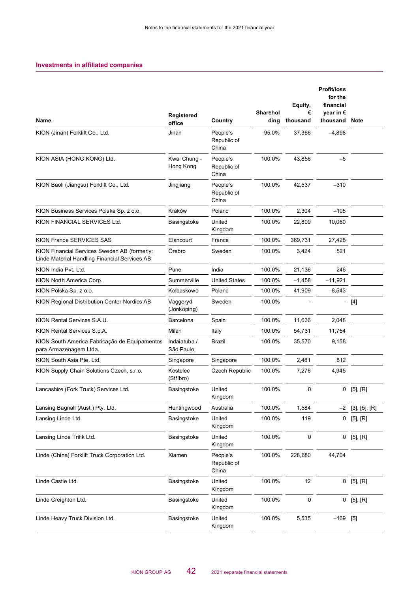| Name                                                                                          | Registered<br>office      | Country                          | <b>Sharehol</b><br>ding | Equity,<br>€<br>thousand | <b>Profit/loss</b><br>for the<br>financial<br>year in €<br>thousand | <b>Note</b>           |
|-----------------------------------------------------------------------------------------------|---------------------------|----------------------------------|-------------------------|--------------------------|---------------------------------------------------------------------|-----------------------|
| KION (Jinan) Forklift Co., Ltd.                                                               | Jinan                     | People's<br>Republic of<br>China | 95.0%                   | 37,366                   | $-4,898$                                                            |                       |
| KION ASIA (HONG KONG) Ltd.                                                                    | Kwai Chung -<br>Hong Kong | People's<br>Republic of<br>China | 100.0%                  | 43,856                   | -5                                                                  |                       |
| KION Baoli (Jiangsu) Forklift Co., Ltd.                                                       | Jingjiang                 | People's<br>Republic of<br>China | 100.0%                  | 42,537                   | $-310$                                                              |                       |
| KION Business Services Polska Sp. z o.o.                                                      | Kraków                    | Poland                           | 100.0%                  | 2,304                    | $-105$                                                              |                       |
| KION FINANCIAL SERVICES Ltd.                                                                  | Basingstoke               | United<br>Kingdom                | 100.0%                  | 22,809                   | 10,060                                                              |                       |
| KION France SERVICES SAS                                                                      | Elancourt                 | France                           | 100.0%                  | 369,731                  | 27,428                                                              |                       |
| KION Financial Services Sweden AB (formerly:<br>Linde Material Handling Financial Services AB | Örebro                    | Sweden                           | 100.0%                  | 3,424                    | 521                                                                 |                       |
| KION India Pvt. Ltd.                                                                          | Pune                      | India                            | 100.0%                  | 21,136                   | 246                                                                 |                       |
| KION North America Corp.                                                                      | Summerville               | <b>United States</b>             | 100.0%                  | $-1,458$                 | $-11,921$                                                           |                       |
| KION Polska Sp. z o.o.                                                                        | Kolbaskowo                | Poland                           | 100.0%                  | 41,909                   | $-8,543$                                                            |                       |
| KION Regional Distribution Center Nordics AB                                                  | Vaggeryd<br>(Jonköping)   | Sweden                           | 100.0%                  |                          |                                                                     | $-$ [4]               |
| KION Rental Services S.A.U.                                                                   | Barcelona                 | Spain                            | 100.0%                  | 11,636                   | 2,048                                                               |                       |
| KION Rental Services S.p.A.                                                                   | Milan                     | Italy                            | 100.0%                  | 54,731                   | 11,754                                                              |                       |
| KION South America Fabricação de Equipamentos<br>para Armazenagem Ltda.                       | Indaiatuba /<br>São Paulo | Brazil                           | 100.0%                  | 35,570                   | 9,158                                                               |                       |
| KION South Asia Pte. Ltd.                                                                     | Singapore                 | Singapore                        | 100.0%                  | 2,481                    | 812                                                                 |                       |
| KION Supply Chain Solutions Czech, s.r.o.                                                     | Kostelec<br>(Stříbro)     | <b>Czech Republic</b>            | 100.0%                  | 7,276                    | 4,945                                                               |                       |
| Lancashire (Fork Truck) Services Ltd.                                                         | Basingstoke               | United<br>Kingdom                | 100.0%                  | 0                        |                                                                     | $0$ [5], [R]          |
| Lansing Bagnall (Aust.) Pty. Ltd.                                                             | Huntingwood               | Australia                        | 100.0%                  | 1,584                    | $-2$                                                                | $[3]$ , $[5]$ , $[R]$ |
| Lansing Linde Ltd.                                                                            | Basingstoke               | United<br>Kingdom                | 100.0%                  | 119                      | 0                                                                   | $[5]$ , $[R]$         |
| Lansing Linde Trifik Ltd.                                                                     | Basingstoke               | United<br>Kingdom                | 100.0%                  | 0                        |                                                                     | $0$ [5], [R]          |
| Linde (China) Forklift Truck Corporation Ltd.                                                 | Xiamen                    | People's<br>Republic of<br>China | 100.0%                  | 228,680                  | 44,704                                                              |                       |
| Linde Castle Ltd.                                                                             | Basingstoke               | United<br>Kingdom                | 100.0%                  | 12                       |                                                                     | $0$ [5], [R]          |
| Linde Creighton Ltd.                                                                          | Basingstoke               | United<br>Kingdom                | 100.0%                  | $\pmb{0}$                |                                                                     | $0$ [5], [R]          |
| Linde Heavy Truck Division Ltd.                                                               | Basingstoke               | United<br>Kingdom                | 100.0%                  | 5,535                    | $-169$ [5]                                                          |                       |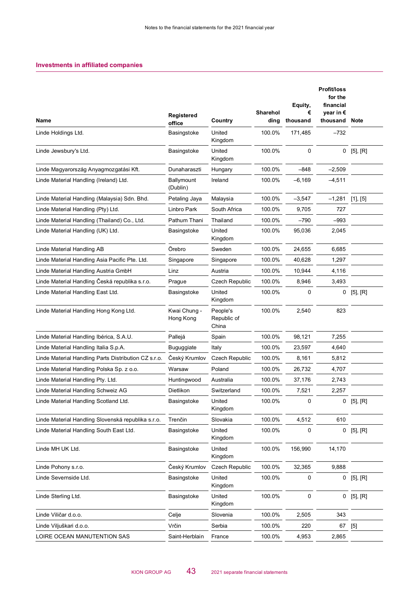| Name                                                 | Registered<br>office      | Country                          | <b>Sharehol</b><br>ding | Equity,<br>€<br>thousand | <b>Profit/loss</b><br>for the<br>financial<br>year in €<br>thousand | <b>Note</b>   |
|------------------------------------------------------|---------------------------|----------------------------------|-------------------------|--------------------------|---------------------------------------------------------------------|---------------|
| Linde Holdings Ltd.                                  | Basingstoke               | United<br>Kingdom                | 100.0%                  | 171,485                  | $-732$                                                              |               |
| Linde Jewsbury's Ltd.                                | Basingstoke               | United<br>Kingdom                | 100.0%                  | 0                        |                                                                     | $0$ [5], [R]  |
| Linde Magyarország Anyagmozgatási Kft.               | Dunaharaszti              | Hungary                          | 100.0%                  | $-848$                   | $-2,509$                                                            |               |
| Linde Material Handling (Ireland) Ltd.               | Ballymount<br>(Dublin)    | Ireland                          | 100.0%                  | $-6,169$                 | $-4,511$                                                            |               |
| Linde Material Handling (Malaysia) Sdn. Bhd.         | Petaling Jaya             | Malaysia                         | 100.0%                  | $-3,547$                 | $-1,281$                                                            | [1], [5]      |
| Linde Material Handling (Pty) Ltd.                   | Linbro Park               | South Africa                     | 100.0%                  | 9,705                    | 727                                                                 |               |
| Linde Material Handling (Thailand) Co., Ltd.         | Pathum Thani              | Thailand                         | 100.0%                  | $-790$                   | $-993$                                                              |               |
| Linde Material Handling (UK) Ltd.                    | Basingstoke               | United<br>Kingdom                | 100.0%                  | 95,036                   | 2,045                                                               |               |
| Linde Material Handling AB                           | Örebro                    | Sweden                           | 100.0%                  | 24,655                   | 6.685                                                               |               |
| Linde Material Handling Asia Pacific Pte. Ltd.       | Singapore                 | Singapore                        | 100.0%                  | 40,628                   | 1,297                                                               |               |
| Linde Material Handling Austria GmbH                 | Linz                      | Austria                          | 100.0%                  | 10,944                   | 4,116                                                               |               |
| Linde Material Handling Česká republika s.r.o.       | Prague                    | Czech Republic                   | 100.0%                  | 8,946                    | 3,493                                                               |               |
| Linde Material Handling East Ltd.                    | Basingstoke               | United<br>Kingdom                | 100.0%                  | 0                        |                                                                     | $0$ [5], [R]  |
| Linde Material Handling Hong Kong Ltd.               | Kwai Chung -<br>Hong Kong | People's<br>Republic of<br>China | 100.0%                  | 2,540                    | 823                                                                 |               |
| Linde Material Handling Ibérica, S.A.U.              | Pallejá                   | Spain                            | 100.0%                  | 98,121                   | 7,255                                                               |               |
| Linde Material Handling Italia S.p.A.                | Buguggiate                | Italy                            | 100.0%                  | 23,597                   | 4,640                                                               |               |
| Linde Material Handling Parts Distribution CZ s.r.o. | Ceský Krumlov             | Czech Republic                   | 100.0%                  | 8,161                    | 5,812                                                               |               |
| Linde Material Handling Polska Sp. z o.o.            | Warsaw                    | Poland                           | 100.0%                  | 26,732                   | 4,707                                                               |               |
| Linde Material Handling Pty. Ltd.                    | Huntingwood               | Australia                        | 100.0%                  | 37,176                   | 2,743                                                               |               |
| Linde Material Handling Schweiz AG                   | Dietlikon                 | Switzerland                      | 100.0%                  | 7,521                    | 2,257                                                               |               |
| Linde Material Handling Scotland Ltd.                | Basingstoke               | United<br>Kingdom                | 100.0%                  | 0                        |                                                                     | $0$ [5], [R]  |
| Linde Material Handling Slovenská republika s.r.o.   | Trenčin                   | Slovakia                         | 100.0%                  | 4,512                    | 610                                                                 |               |
| Linde Material Handling South East Ltd.              | Basingstoke               | United<br>Kingdom                | 100.0%                  | 0                        | 0                                                                   | $[5]$ , $[R]$ |
| Linde MH UK Ltd.                                     | Basingstoke               | United<br>Kingdom                | 100.0%                  | 156,990                  | 14,170                                                              |               |
| Linde Pohony s.r.o.                                  | Český Krumlov             | Czech Republic                   | 100.0%                  | 32,365                   | 9,888                                                               |               |
| Linde Severnside Ltd.                                | Basingstoke               | United<br>Kingdom                | 100.0%                  | 0                        | 0                                                                   | $[5]$ , $[R]$ |
| Linde Sterling Ltd.                                  | Basingstoke               | United<br>Kingdom                | 100.0%                  | 0                        |                                                                     | $0$ [5], [R]  |
| Linde Viličar d.o.o.                                 | Celje                     | Slovenia                         | 100.0%                  | 2,505                    | 343                                                                 |               |
| Linde Viljuškari d.o.o.                              | Vrčin                     | Serbia                           | 100.0%                  | 220                      | 67                                                                  | $[5]$         |
| LOIRE OCEAN MANUTENTION SAS                          | Saint-Herblain            | France                           | 100.0%                  | 4,953                    | 2,865                                                               |               |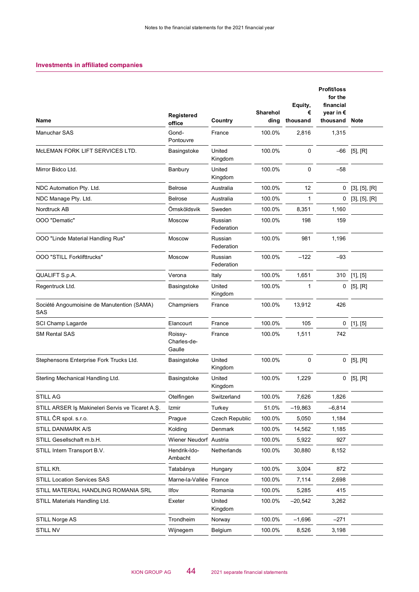| Name                                              | Registered<br>office             | Country               | <b>Sharehol</b><br>ding | Equity,<br>€<br>thousand | <b>Profit/loss</b><br>for the<br>financial<br>year in €<br>thousand | Note                  |
|---------------------------------------------------|----------------------------------|-----------------------|-------------------------|--------------------------|---------------------------------------------------------------------|-----------------------|
| Manuchar SAS                                      | Gond-<br>Pontouvre               | France                | 100.0%                  | 2,816                    | 1,315                                                               |                       |
| MCLEMAN FORK LIFT SERVICES LTD.                   | Basingstoke                      | United<br>Kingdom     | 100.0%                  | 0                        | -66                                                                 | [5], [R]              |
| Mirror Bidco Ltd.                                 | Banbury                          | United<br>Kingdom     | 100.0%                  | 0                        | $-58$                                                               |                       |
| NDC Automation Pty. Ltd.                          | <b>Belrose</b>                   | Australia             | 100.0%                  | 12                       | 0                                                                   | $[3]$ , $[5]$ , $[R]$ |
| NDC Manage Pty. Ltd.                              | <b>Belrose</b>                   | Australia             | 100.0%                  | $\mathbf{1}$             | 0                                                                   | $[3]$ , $[5]$ , $[R]$ |
| Nordtruck AB                                      | Örnsköldsvik                     | Sweden                | 100.0%                  | 8,351                    | 1,160                                                               |                       |
| OOO "Dematic"                                     | <b>Moscow</b>                    | Russian<br>Federation | 100.0%                  | 198                      | 159                                                                 |                       |
| OOO "Linde Material Handling Rus"                 | <b>Moscow</b>                    | Russian<br>Federation | 100.0%                  | 981                      | 1,196                                                               |                       |
| <b>OOO "STILL Forklifttrucks"</b>                 | <b>Moscow</b>                    | Russian<br>Federation | 100.0%                  | $-122$                   | $-93$                                                               |                       |
| QUALIFT S.p.A.                                    | Verona                           | Italy                 | 100.0%                  | 1,651                    | 310                                                                 | [1], [5]              |
| Regentruck Ltd.                                   | Basingstoke                      | United<br>Kingdom     | 100.0%                  | 1                        |                                                                     | $0$ [5], [R]          |
| Société Angoumoisine de Manutention (SAMA)<br>SAS | Champniers                       | France                | 100.0%                  | 13,912                   | 426                                                                 |                       |
| SCI Champ Lagarde                                 | Elancourt                        | France                | 100.0%                  | 105                      | 0                                                                   | [1], [5]              |
| <b>SM Rental SAS</b>                              | Roissy-<br>Charles-de-<br>Gaulle | France                | 100.0%                  | 1,511                    | 742                                                                 |                       |
| Stephensons Enterprise Fork Trucks Ltd.           | Basingstoke                      | United<br>Kingdom     | 100.0%                  | $\mathbf 0$              |                                                                     | $0$ [5], [R]          |
| Sterling Mechanical Handling Ltd.                 | Basingstoke                      | United<br>Kingdom     | 100.0%                  | 1,229                    |                                                                     | $0$ [5], [R]          |
| <b>STILL AG</b>                                   | Otelfingen                       | Switzerland           | 100.0%                  | 7,626                    | 1,826                                                               |                       |
| STILL ARSER Iş Makineleri Servis ve Ticaret A.Ş.  | Izmir                            | Turkey                | 51.0%                   | $-19,863$                | $-6,814$                                                            |                       |
| STILL ČR spol. s.r.o.                             | Prague                           | <b>Czech Republic</b> | 100.0%                  | 5,050                    | 1,184                                                               |                       |
| STILL DANMARK A/S                                 | Kolding                          | Denmark               | 100.0%                  | 14,562                   | 1,185                                                               |                       |
| STILL Gesellschaft m.b.H.                         | Wiener Neudorf                   | Austria               | 100.0%                  | 5,922                    | 927                                                                 |                       |
| STILL Intern Transport B.V.                       | Hendrik-Ido-<br>Ambacht          | Netherlands           | 100.0%                  | 30,880                   | 8,152                                                               |                       |
| STILL Kft.                                        | Tatabánya                        | Hungary               | 100.0%                  | 3,004                    | 872                                                                 |                       |
| <b>STILL Location Services SAS</b>                | Marne-la-Vallée France           |                       | 100.0%                  | 7,114                    | 2,698                                                               |                       |
| STILL MATERIAL HANDLING ROMANIA SRL               | llfov                            | Romania               | 100.0%                  | 5,285                    | 415                                                                 |                       |
| STILL Materials Handling Ltd.                     | Exeter                           | United<br>Kingdom     | 100.0%                  | $-20,542$                | 3,262                                                               |                       |
| STILL Norge AS                                    | Trondheim                        | Norway                | 100.0%                  | $-1,696$                 | $-271$                                                              |                       |
| <b>STILL NV</b>                                   | Wijnegem                         | Belgium               | 100.0%                  | 8,526                    | 3,198                                                               |                       |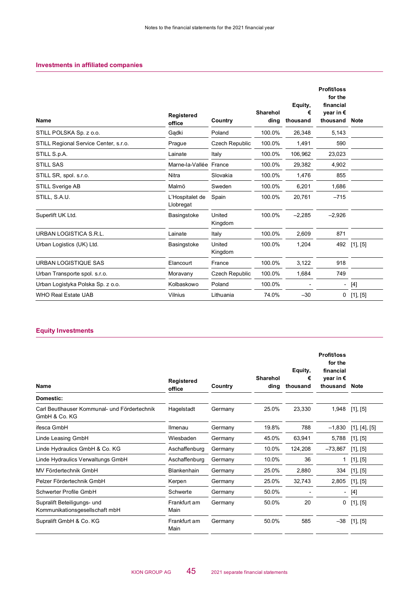| Name                                  | Registered<br>office         | Country               | <b>Sharehol</b><br>ding | Equity,<br>€<br>thousand | Profit/loss<br>for the<br>financial<br>year in $\epsilon$<br>thousand | <b>Note</b> |
|---------------------------------------|------------------------------|-----------------------|-------------------------|--------------------------|-----------------------------------------------------------------------|-------------|
| STILL POLSKA Sp. z o.o.               | Gadki                        | Poland                | 100.0%                  | 26,348                   | 5,143                                                                 |             |
| STILL Regional Service Center, s.r.o. | Prague                       | <b>Czech Republic</b> | 100.0%                  | 1,491                    | 590                                                                   |             |
| STILL S.p.A.                          | Lainate                      | Italy                 | 100.0%                  | 106,962                  | 23,023                                                                |             |
| <b>STILL SAS</b>                      | Marne-la-Vallée France       |                       | 100.0%                  | 29,382                   | 4,902                                                                 |             |
| STILL SR, spol. s.r.o.                | Nitra                        | Slovakia              | 100.0%                  | 1,476                    | 855                                                                   |             |
| <b>STILL Sverige AB</b>               | Malmö                        | Sweden                | 100.0%                  | 6,201                    | 1,686                                                                 |             |
| STILL, S.A.U.                         | L'Hospitalet de<br>Llobregat | Spain                 | 100.0%                  | 20,761                   | $-715$                                                                |             |
| Superlift UK Ltd.                     | Basingstoke                  | United<br>Kingdom     | 100.0%                  | $-2,285$                 | $-2,926$                                                              |             |
| URBAN LOGISTICA S.R.L.                | Lainate                      | Italy                 | 100.0%                  | 2,609                    | 871                                                                   |             |
| Urban Logistics (UK) Ltd.             | Basingstoke                  | United<br>Kingdom     | 100.0%                  | 1,204                    | 492                                                                   | [1], [5]    |
| <b>URBAN LOGISTIQUE SAS</b>           | Elancourt                    | France                | 100.0%                  | 3,122                    | 918                                                                   |             |
| Urban Transporte spol. s.r.o.         | Moravany                     | <b>Czech Republic</b> | 100.0%                  | 1,684                    | 749                                                                   |             |
| Urban Logistyka Polska Sp. z o.o.     | Kolbaskowo                   | Poland                | 100.0%                  |                          | $\overline{\phantom{a}}$                                              |             |
| <b>WHO Real Estate UAB</b>            | Vilnius                      | Lithuania             | 74.0%                   | $-30$                    | 0                                                                     | [1], [5]    |

#### **Equity Investments**

| Name                                                          | Registered<br>office | Country | <b>Sharehol</b><br>ding | Equity,<br>€<br>thousand | Profit/loss<br>for the<br>financial<br>year in $\epsilon$<br>thousand | <b>Note</b>   |
|---------------------------------------------------------------|----------------------|---------|-------------------------|--------------------------|-----------------------------------------------------------------------|---------------|
| Domestic:                                                     |                      |         |                         |                          |                                                                       |               |
| Carl Beutlhauser Kommunal- und Fördertechnik<br>GmbH & Co. KG | Hagelstadt           | Germany | 25.0%                   | 23,330                   | 1,948                                                                 | [1], [5]      |
| ifesca GmbH                                                   | Ilmenau              | Germany | 19.8%                   | 788                      | $-1,830$                                                              | [1], [4], [5] |
| Linde Leasing GmbH                                            | Wiesbaden            | Germany | 45.0%                   | 63,941                   | 5,788                                                                 | [1], [5]      |
| Linde Hydraulics GmbH & Co. KG                                | Aschaffenburg        | Germany | 10.0%                   | 124,208                  | $-73,867$                                                             | [1], [5]      |
| Linde Hydraulics Verwaltungs GmbH                             | Aschaffenburg        | Germany | 10.0%                   | 36                       | 1                                                                     | [1], [5]      |
| MV Fördertechnik GmbH                                         | Blankenhain          | Germany | 25.0%                   | 2,880                    | 334                                                                   | $[1]$ , $[5]$ |
| Pelzer Fördertechnik GmbH                                     | Kerpen               | Germany | 25.0%                   | 32,743                   | 2,805                                                                 | [1], [5]      |
| Schwerter Profile GmbH                                        | Schwerte             | Germany | 50.0%                   |                          | $\overline{\phantom{a}}$                                              |               |
| Supralift Beteiligungs- und<br>Kommunikationsgesellschaft mbH | Frankfurt am<br>Main | Germany | 50.0%                   | 20                       | 0                                                                     | $[1]$ , $[5]$ |
| Supralift GmbH & Co. KG                                       | Frankfurt am<br>Main | Germany | 50.0%                   | 585                      | –38                                                                   | $[1]$ , $[5]$ |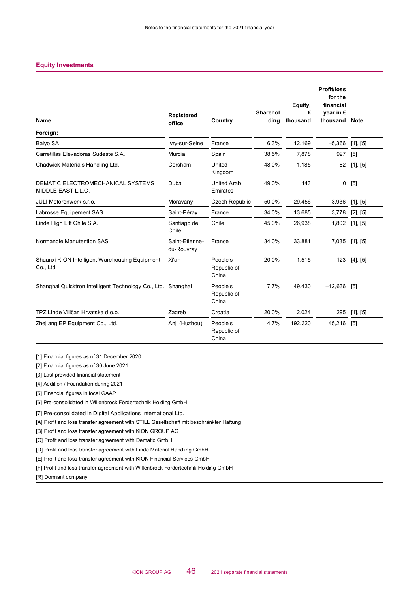#### **Equity Investments**

| Name                                                         | Registered<br>office         | Country                          | Sharehol<br>ding | Equity,<br>€<br>thousand | Profit/loss<br>for the<br>financial<br>year in €<br>thousand | <b>Note</b>   |
|--------------------------------------------------------------|------------------------------|----------------------------------|------------------|--------------------------|--------------------------------------------------------------|---------------|
| Foreign:                                                     |                              |                                  |                  |                          |                                                              |               |
| Balyo SA                                                     | Ivry-sur-Seine               | France                           | 6.3%             | 12,169                   | $-5,366$                                                     | $[1]$ , $[5]$ |
| Carretillas Elevadoras Sudeste S.A.                          | Murcia                       | Spain                            | 38.5%            | 7,878                    | 927                                                          | [5]           |
| Chadwick Materials Handling Ltd.                             | Corsham                      | United<br>Kingdom                | 48.0%            | 1,185                    | 82                                                           | $[1]$ , $[5]$ |
| DEMATIC ELECTROMECHANICAL SYSTEMS<br>MIDDLE EAST L.L.C.      | Dubai                        | <b>United Arab</b><br>Emirates   | 49.0%            | 143                      | 0                                                            | $[5]$         |
| <b>JULI Motorenwerk s.r.o.</b>                               | Moravany                     | <b>Czech Republic</b>            | 50.0%            | 29.456                   | 3,936                                                        | $[1]$ , $[5]$ |
| Labrosse Equipement SAS                                      | Saint-Péray                  | France                           | 34.0%            | 13,685                   | 3,778                                                        | $[2]$ , $[5]$ |
| Linde High Lift Chile S.A.                                   | Santiago de<br>Chile         | Chile                            | 45.0%            | 26,938                   | 1,802                                                        | $[1]$ , $[5]$ |
| Normandie Manutention SAS                                    | Saint-Etienne-<br>du-Rouvray | France                           | 34.0%            | 33,881                   | 7,035                                                        | [1], [5]      |
| Shaanxi KION Intelligent Warehousing Equipment<br>Co., Ltd.  | Xi'an                        | People's<br>Republic of<br>China | 20.0%            | 1,515                    | 123                                                          | $[4]$ , $[5]$ |
| Shanghai Quicktron Intelligent Technology Co., Ltd. Shanghai |                              | People's<br>Republic of<br>China | 7.7%             | 49,430                   | $-12,636$                                                    | [5]           |
| TPZ Linde Viličari Hrvatska d.o.o.                           | Zagreb                       | Croatia                          | 20.0%            | 2.024                    | 295                                                          | $[1]$ , $[5]$ |
| Zhejiang EP Equipment Co., Ltd.                              | Anji (Huzhou)                | People's<br>Republic of<br>China | 4.7%             | 192,320                  | 45,216                                                       | [5]           |

[1] Financial figures as of 31 December 2020

[2] Financial figures as of 30 June 2021

[3] Last provided financial statement

[4] Addition / Foundation during 2021

[5] Financial figures in local GAAP

[6] Pre-consolidated in Willenbrock Fördertechnik Holding GmbH

[7] Pre-consolidated in Digital Applications International Ltd.

[A] Profit and loss transfer agreement with STILL Gesellschaft mit beschränkter Haftung

[B] Profit and loss transfer agreement with KION GROUP AG

[C] Profit and loss transfer agreement with Dematic GmbH

[D] Profit and loss transfer agreement with Linde Material Handling GmbH

[E] Profit and loss transfer agreement with KION Financial Services GmbH

[F] Profit and loss transfer agreement with Willenbrock Fördertechnik Holding GmbH

[R] Dormant company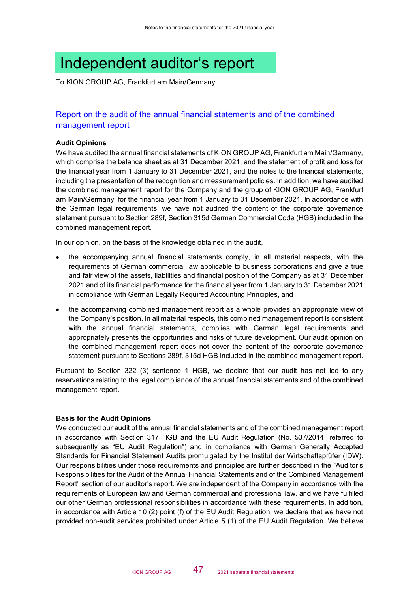# Independent auditor's report

To KION GROUP AG, Frankfurt am Main/Germany

#### Report on the audit of the annual financial statements and of the combined management report

#### **Audit Opinions**

We have audited the annual financial statements of KION GROUP AG, Frankfurt am Main/Germany, which comprise the balance sheet as at 31 December 2021, and the statement of profit and loss for the financial year from 1 January to 31 December 2021, and the notes to the financial statements, including the presentation of the recognition and measurement policies. In addition, we have audited the combined management report for the Company and the group of KION GROUP AG, Frankfurt am Main/Germany, for the financial year from 1 January to 31 December 2021. In accordance with the German legal requirements, we have not audited the content of the corporate governance statement pursuant to Section 289f, Section 315d German Commercial Code (HGB) included in the combined management report.

In our opinion, on the basis of the knowledge obtained in the audit,

- the accompanying annual financial statements comply, in all material respects, with the requirements of German commercial law applicable to business corporations and give a true and fair view of the assets, liabilities and financial position of the Company as at 31 December 2021 and of its financial performance for the financial year from 1 January to 31 December 2021 in compliance with German Legally Required Accounting Principles, and
- the accompanying combined management report as a whole provides an appropriate view of the Company's position. In all material respects, this combined management report is consistent with the annual financial statements, complies with German legal requirements and appropriately presents the opportunities and risks of future development. Our audit opinion on the combined management report does not cover the content of the corporate governance statement pursuant to Sections 289f, 315d HGB included in the combined management report.

Pursuant to Section 322 (3) sentence 1 HGB, we declare that our audit has not led to any reservations relating to the legal compliance of the annual financial statements and of the combined management report.

#### **Basis for the Audit Opinions**

We conducted our audit of the annual financial statements and of the combined management report in accordance with Section 317 HGB and the EU Audit Regulation (No. 537/2014; referred to subsequently as "EU Audit Regulation") and in compliance with German Generally Accepted Standards for Financial Statement Audits promulgated by the Institut der Wirtschaftsprüfer (IDW). Our responsibilities under those requirements and principles are further described in the "Auditor's Responsibilities for the Audit of the Annual Financial Statements and of the Combined Management Report" section of our auditor's report. We are independent of the Company in accordance with the requirements of European law and German commercial and professional law, and we have fulfilled our other German professional responsibilities in accordance with these requirements. In addition, in accordance with Article 10 (2) point (f) of the EU Audit Regulation, we declare that we have not provided non-audit services prohibited under Article 5 (1) of the EU Audit Regulation. We believe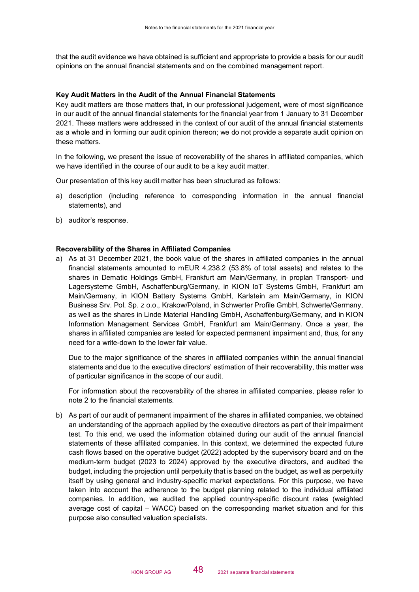that the audit evidence we have obtained is sufficient and appropriate to provide a basis for our audit opinions on the annual financial statements and on the combined management report.

#### **Key Audit Matters in the Audit of the Annual Financial Statements**

Key audit matters are those matters that, in our professional judgement, were of most significance in our audit of the annual financial statements for the financial year from 1 January to 31 December 2021. These matters were addressed in the context of our audit of the annual financial statements as a whole and in forming our audit opinion thereon; we do not provide a separate audit opinion on these matters.

In the following, we present the issue of recoverability of the shares in affiliated companies, which we have identified in the course of our audit to be a key audit matter.

Our presentation of this key audit matter has been structured as follows:

- a) description (including reference to corresponding information in the annual financial statements), and
- b) auditor's response.

#### **Recoverability of the Shares in Affiliated Companies**

a) As at 31 December 2021, the book value of the shares in affiliated companies in the annual financial statements amounted to mEUR 4,238.2 (53.8% of total assets) and relates to the shares in Dematic Holdings GmbH, Frankfurt am Main/Germany, in proplan Transport- und Lagersysteme GmbH, Aschaffenburg/Germany, in KION IoT Systems GmbH, Frankfurt am Main/Germany, in KION Battery Systems GmbH, Karlstein am Main/Germany, in KION Business Srv. Pol. Sp. z o.o., Krakow/Poland, in Schwerter Profile GmbH, Schwerte/Germany, as well as the shares in Linde Material Handling GmbH, Aschaffenburg/Germany, and in KION Information Management Services GmbH, Frankfurt am Main/Germany. Once a year, the shares in affiliated companies are tested for expected permanent impairment and, thus, for any need for a write-down to the lower fair value.

Due to the major significance of the shares in affiliated companies within the annual financial statements and due to the executive directors' estimation of their recoverability, this matter was of particular significance in the scope of our audit.

For information about the recoverability of the shares in affiliated companies, please refer to note 2 to the financial statements.

b) As part of our audit of permanent impairment of the shares in affiliated companies, we obtained an understanding of the approach applied by the executive directors as part of their impairment test. To this end, we used the information obtained during our audit of the annual financial statements of these affiliated companies. In this context, we determined the expected future cash flows based on the operative budget (2022) adopted by the supervisory board and on the medium-term budget (2023 to 2024) approved by the executive directors, and audited the budget, including the projection until perpetuity that is based on the budget, as well as perpetuity itself by using general and industry-specific market expectations. For this purpose, we have taken into account the adherence to the budget planning related to the individual affiliated companies. In addition, we audited the applied country-specific discount rates (weighted average cost of capital – WACC) based on the corresponding market situation and for this purpose also consulted valuation specialists.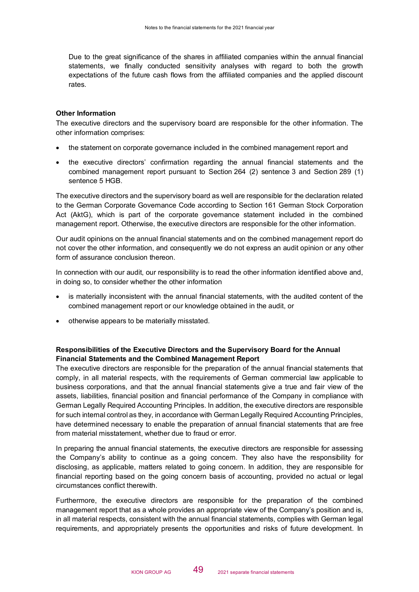Due to the great significance of the shares in affiliated companies within the annual financial statements, we finally conducted sensitivity analyses with regard to both the growth expectations of the future cash flows from the affiliated companies and the applied discount rates.

#### **Other Information**

The executive directors and the supervisory board are responsible for the other information. The other information comprises:

- the statement on corporate governance included in the combined management report and
- the executive directors' confirmation regarding the annual financial statements and the combined management report pursuant to Section 264 (2) sentence 3 and Section 289 (1) sentence 5 HGB.

The executive directors and the supervisory board as well are responsible for the declaration related to the German Corporate Governance Code according to Section 161 German Stock Corporation Act (AktG), which is part of the corporate governance statement included in the combined management report. Otherwise, the executive directors are responsible for the other information.

Our audit opinions on the annual financial statements and on the combined management report do not cover the other information, and consequently we do not express an audit opinion or any other form of assurance conclusion thereon.

In connection with our audit, our responsibility is to read the other information identified above and, in doing so, to consider whether the other information

- is materially inconsistent with the annual financial statements, with the audited content of the combined management report or our knowledge obtained in the audit, or
- otherwise appears to be materially misstated.

#### **Responsibilities of the Executive Directors and the Supervisory Board for the Annual Financial Statements and the Combined Management Report**

The executive directors are responsible for the preparation of the annual financial statements that comply, in all material respects, with the requirements of German commercial law applicable to business corporations, and that the annual financial statements give a true and fair view of the assets, liabilities, financial position and financial performance of the Company in compliance with German Legally Required Accounting Principles. In addition, the executive directors are responsible for such internal control as they, in accordance with German Legally Required Accounting Principles, have determined necessary to enable the preparation of annual financial statements that are free from material misstatement, whether due to fraud or error.

In preparing the annual financial statements, the executive directors are responsible for assessing the Company's ability to continue as a going concern. They also have the responsibility for disclosing, as applicable, matters related to going concern. In addition, they are responsible for financial reporting based on the going concern basis of accounting, provided no actual or legal circumstances conflict therewith.

Furthermore, the executive directors are responsible for the preparation of the combined management report that as a whole provides an appropriate view of the Company's position and is, in all material respects, consistent with the annual financial statements, complies with German legal requirements, and appropriately presents the opportunities and risks of future development. In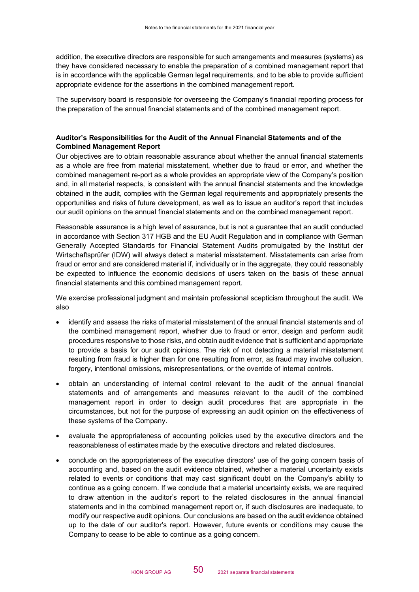addition, the executive directors are responsible for such arrangements and measures (systems) as they have considered necessary to enable the preparation of a combined management report that is in accordance with the applicable German legal requirements, and to be able to provide sufficient appropriate evidence for the assertions in the combined management report.

The supervisory board is responsible for overseeing the Company's financial reporting process for the preparation of the annual financial statements and of the combined management report.

#### **Auditor's Responsibilities for the Audit of the Annual Financial Statements and of the Combined Management Report**

Our objectives are to obtain reasonable assurance about whether the annual financial statements as a whole are free from material misstatement, whether due to fraud or error, and whether the combined management re-port as a whole provides an appropriate view of the Company's position and, in all material respects, is consistent with the annual financial statements and the knowledge obtained in the audit, complies with the German legal requirements and appropriately presents the opportunities and risks of future development, as well as to issue an auditor's report that includes our audit opinions on the annual financial statements and on the combined management report.

Reasonable assurance is a high level of assurance, but is not a guarantee that an audit conducted in accordance with Section 317 HGB and the EU Audit Regulation and in compliance with German Generally Accepted Standards for Financial Statement Audits promulgated by the Institut der Wirtschaftsprüfer (IDW) will always detect a material misstatement. Misstatements can arise from fraud or error and are considered material if, individually or in the aggregate, they could reasonably be expected to influence the economic decisions of users taken on the basis of these annual financial statements and this combined management report.

We exercise professional judgment and maintain professional scepticism throughout the audit. We also

- identify and assess the risks of material misstatement of the annual financial statements and of the combined management report, whether due to fraud or error, design and perform audit procedures responsive to those risks, and obtain audit evidence that is sufficient and appropriate to provide a basis for our audit opinions. The risk of not detecting a material misstatement resulting from fraud is higher than for one resulting from error, as fraud may involve collusion, forgery, intentional omissions, misrepresentations, or the override of internal controls.
- obtain an understanding of internal control relevant to the audit of the annual financial statements and of arrangements and measures relevant to the audit of the combined management report in order to design audit procedures that are appropriate in the circumstances, but not for the purpose of expressing an audit opinion on the effectiveness of these systems of the Company.
- evaluate the appropriateness of accounting policies used by the executive directors and the reasonableness of estimates made by the executive directors and related disclosures.
- conclude on the appropriateness of the executive directors' use of the going concern basis of accounting and, based on the audit evidence obtained, whether a material uncertainty exists related to events or conditions that may cast significant doubt on the Company's ability to continue as a going concern. If we conclude that a material uncertainty exists, we are required to draw attention in the auditor's report to the related disclosures in the annual financial statements and in the combined management report or, if such disclosures are inadequate, to modify our respective audit opinions. Our conclusions are based on the audit evidence obtained up to the date of our auditor's report. However, future events or conditions may cause the Company to cease to be able to continue as a going concern.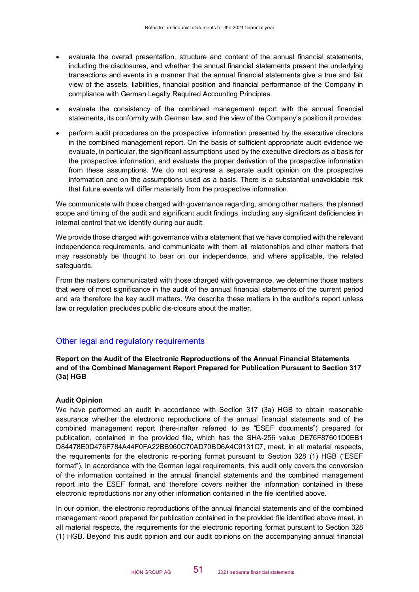- evaluate the overall presentation, structure and content of the annual financial statements, including the disclosures, and whether the annual financial statements present the underlying transactions and events in a manner that the annual financial statements give a true and fair view of the assets, liabilities, financial position and financial performance of the Company in compliance with German Legally Required Accounting Principles.
- evaluate the consistency of the combined management report with the annual financial statements, its conformity with German law, and the view of the Company's position it provides.
- perform audit procedures on the prospective information presented by the executive directors in the combined management report. On the basis of sufficient appropriate audit evidence we evaluate, in particular, the significant assumptions used by the executive directors as a basis for the prospective information, and evaluate the proper derivation of the prospective information from these assumptions. We do not express a separate audit opinion on the prospective information and on the assumptions used as a basis. There is a substantial unavoidable risk that future events will differ materially from the prospective information.

We communicate with those charged with governance regarding, among other matters, the planned scope and timing of the audit and significant audit findings, including any significant deficiencies in internal control that we identify during our audit.

We provide those charged with governance with a statement that we have complied with the relevant independence requirements, and communicate with them all relationships and other matters that may reasonably be thought to bear on our independence, and where applicable, the related safeguards.

From the matters communicated with those charged with governance, we determine those matters that were of most significance in the audit of the annual financial statements of the current period and are therefore the key audit matters. We describe these matters in the auditor's report unless law or regulation precludes public dis-closure about the matter.

#### Other legal and regulatory requirements

#### **Report on the Audit of the Electronic Reproductions of the Annual Financial Statements and of the Combined Management Report Prepared for Publication Pursuant to Section 317 (3a) HGB**

#### **Audit Opinion**

We have performed an audit in accordance with Section 317 (3a) HGB to obtain reasonable assurance whether the electronic reproductions of the annual financial statements and of the combined management report (here-inafter referred to as "ESEF documents") prepared for publication, contained in the provided file, which has the SHA-256 value DE76F87601D0EB1 D84478E0D476F784A44F0FA22BB960C70AD70BD6A4C9131C7, meet, in all material respects, the requirements for the electronic re-porting format pursuant to Section 328 (1) HGB ("ESEF format"). In accordance with the German legal requirements, this audit only covers the conversion of the information contained in the annual financial statements and the combined management report into the ESEF format, and therefore covers neither the information contained in these electronic reproductions nor any other information contained in the file identified above.

In our opinion, the electronic reproductions of the annual financial statements and of the combined management report prepared for publication contained in the provided file identified above meet, in all material respects, the requirements for the electronic reporting format pursuant to Section 328 (1) HGB. Beyond this audit opinion and our audit opinions on the accompanying annual financial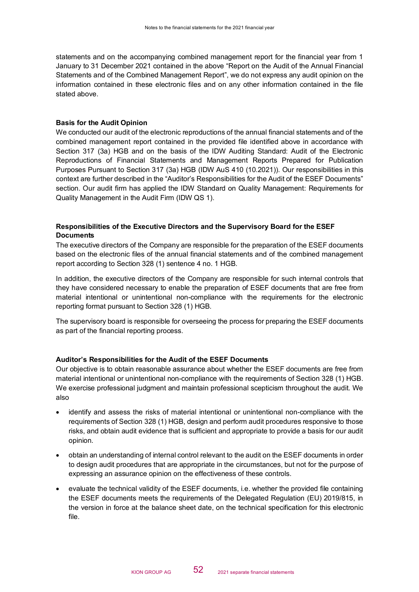statements and on the accompanying combined management report for the financial year from 1 January to 31 December 2021 contained in the above "Report on the Audit of the Annual Financial Statements and of the Combined Management Report", we do not express any audit opinion on the information contained in these electronic files and on any other information contained in the file stated above.

#### **Basis for the Audit Opinion**

We conducted our audit of the electronic reproductions of the annual financial statements and of the combined management report contained in the provided file identified above in accordance with Section 317 (3a) HGB and on the basis of the IDW Auditing Standard: Audit of the Electronic Reproductions of Financial Statements and Management Reports Prepared for Publication Purposes Pursuant to Section 317 (3a) HGB (IDW AuS 410 (10.2021)). Our responsibilities in this context are further described in the "Auditor's Responsibilities for the Audit of the ESEF Documents" section. Our audit firm has applied the IDW Standard on Quality Management: Requirements for Quality Management in the Audit Firm (IDW QS 1).

#### **Responsibilities of the Executive Directors and the Supervisory Board for the ESEF Documents**

The executive directors of the Company are responsible for the preparation of the ESEF documents based on the electronic files of the annual financial statements and of the combined management report according to Section 328 (1) sentence 4 no. 1 HGB.

In addition, the executive directors of the Company are responsible for such internal controls that they have considered necessary to enable the preparation of ESEF documents that are free from material intentional or unintentional non-compliance with the requirements for the electronic reporting format pursuant to Section 328 (1) HGB.

The supervisory board is responsible for overseeing the process for preparing the ESEF documents as part of the financial reporting process.

#### **Auditor's Responsibilities for the Audit of the ESEF Documents**

Our objective is to obtain reasonable assurance about whether the ESEF documents are free from material intentional or unintentional non-compliance with the requirements of Section 328 (1) HGB. We exercise professional judgment and maintain professional scepticism throughout the audit. We also

- identify and assess the risks of material intentional or unintentional non-compliance with the requirements of Section 328 (1) HGB, design and perform audit procedures responsive to those risks, and obtain audit evidence that is sufficient and appropriate to provide a basis for our audit opinion.
- obtain an understanding of internal control relevant to the audit on the ESEF documents in order to design audit procedures that are appropriate in the circumstances, but not for the purpose of expressing an assurance opinion on the effectiveness of these controls.
- evaluate the technical validity of the ESEF documents, i.e. whether the provided file containing the ESEF documents meets the requirements of the Delegated Regulation (EU) 2019/815, in the version in force at the balance sheet date, on the technical specification for this electronic file.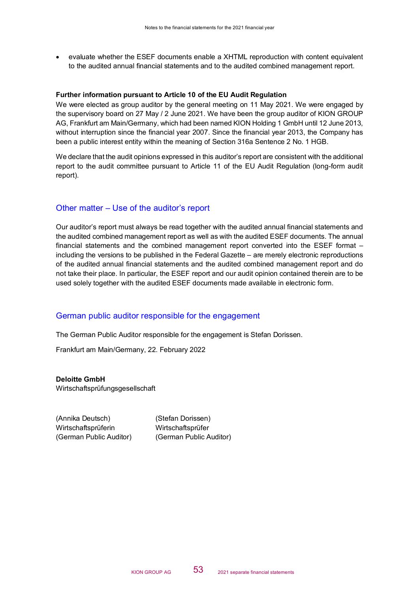• evaluate whether the ESEF documents enable a XHTML reproduction with content equivalent to the audited annual financial statements and to the audited combined management report.

#### **Further information pursuant to Article 10 of the EU Audit Regulation**

We were elected as group auditor by the general meeting on 11 May 2021. We were engaged by the supervisory board on 27 May / 2 June 2021. We have been the group auditor of KION GROUP AG, Frankfurt am Main/Germany, which had been named KION Holding 1 GmbH until 12 June 2013, without interruption since the financial year 2007. Since the financial year 2013, the Company has been a public interest entity within the meaning of Section 316a Sentence 2 No. 1 HGB.

We declare that the audit opinions expressed in this auditor's report are consistent with the additional report to the audit committee pursuant to Article 11 of the EU Audit Regulation (long-form audit report).

#### Other matter – Use of the auditor's report

Our auditor's report must always be read together with the audited annual financial statements and the audited combined management report as well as with the audited ESEF documents. The annual financial statements and the combined management report converted into the ESEF format – including the versions to be published in the Federal Gazette – are merely electronic reproductions of the audited annual financial statements and the audited combined management report and do not take their place. In particular, the ESEF report and our audit opinion contained therein are to be used solely together with the audited ESEF documents made available in electronic form.

#### German public auditor responsible for the engagement

The German Public Auditor responsible for the engagement is Stefan Dorissen.

Frankfurt am Main/Germany, 22. February 2022

**Deloitte GmbH** Wirtschaftsprüfungsgesellschaft

(Annika Deutsch) (Stefan Dorissen) Wirtschaftsprüferin Wirtschaftsprüfer

(German Public Auditor) (German Public Auditor)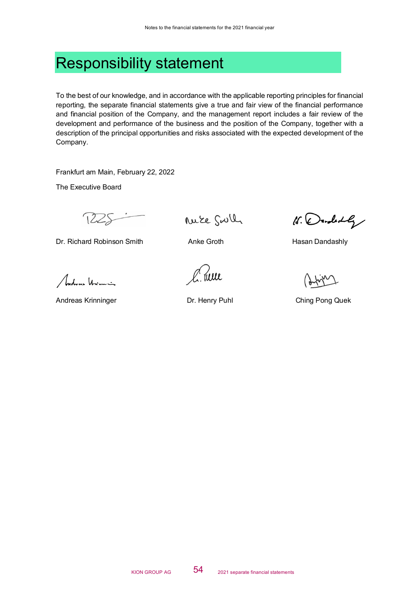# Responsibility statement

To the best of our knowledge, and in accordance with the applicable reporting principles for financial reporting, the separate financial statements give a true and fair view of the financial performance and financial position of the Company, and the management report includes a fair review of the development and performance of the business and the position of the Company, together with a description of the principal opportunities and risks associated with the expected development of the Company.

Frankfurt am Main, February 22, 2022

The Executive Board

Ruse Swll

18. Danderty

Dr. Richard Robinson Smith **Anke Groth** Anke Anke And Anke And Analysis Hasan Dandashly

Andrew Unium

Andreas Krinninger **Dr. Henry Puhl Ching Pong Quek** Ching Pong Quek

P. neve